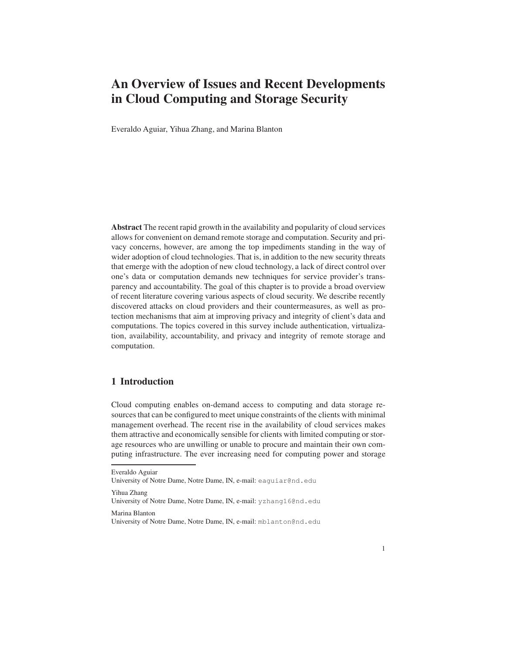# An Overview of Issues and Recent Developments in Cloud Computing and Storage Security

Everaldo Aguiar, Yihua Zhang, and Marina Blanton

Abstract The recent rapid growth in the availability and popularity of cloud services allows for convenient on demand remote storage and computation. Security and privacy concerns, however, are among the top impediments standing in the way of wider adoption of cloud technologies. That is, in addition to the new security threats that emerge with the adoption of new cloud technology, a lack of direct control over one's data or computation demands new techniques for service provider's transparency and accountability. The goal of this chapter is to provide a broad overview of recent literature covering various aspects of cloud security. We describe recently discovered attacks on cloud providers and their countermeasures, as well as protection mechanisms that aim at improving privacy and integrity of client's data and computations. The topics covered in this survey include authentication, virtualization, availability, accountability, and privacy and integrity of remote storage and computation.

# 1 Introduction

Cloud computing enables on-demand access to computing and data storage resources that can be configured to meet unique constraints of the clients with minimal management overhead. The recent rise in the availability of cloud services makes them attractive and economically sensible for clients with limited computing or storage resources who are unwilling or unable to procure and maintain their own computing infrastructure. The ever increasing need for computing power and storage

Yihua Zhang

Marina Blanton

Everaldo Aguiar

University of Notre Dame, Notre Dame, IN, e-mail: eaguiar@nd.edu

University of Notre Dame, Notre Dame, IN, e-mail: yzhang16@nd.edu

University of Notre Dame, Notre Dame, IN, e-mail: mblanton@nd.edu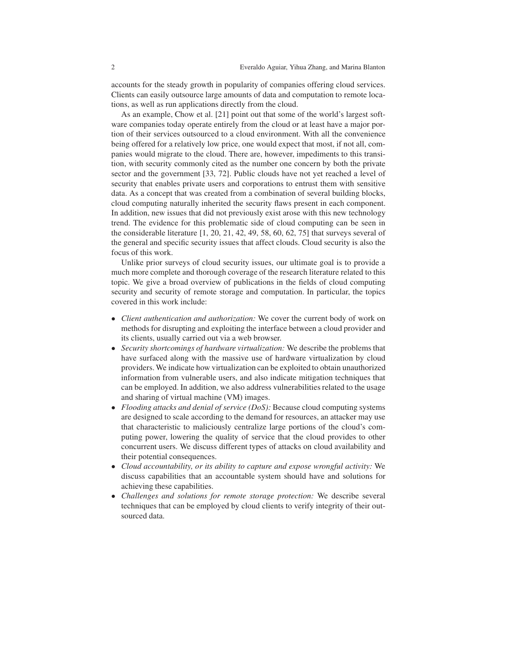accounts for the steady growth in popularity of companies offering cloud services. Clients can easily outsource large amounts of data and computation to remote locations, as well as run applications directly from the cloud.

As an example, Chow et al. [21] point out that some of the world's largest software companies today operate entirely from the cloud or at least have a major portion of their services outsourced to a cloud environment. With all the convenience being offered for a relatively low price, one would expect that most, if not all, companies would migrate to the cloud. There are, however, impediments to this transition, with security commonly cited as the number one concern by both the private sector and the government [33, 72]. Public clouds have not yet reached a level of security that enables private users and corporations to entrust them with sensitive data. As a concept that was created from a combination of several building blocks, cloud computing naturally inherited the security flaws present in each component. In addition, new issues that did not previously exist arose with this new technology trend. The evidence for this problematic side of cloud computing can be seen in the considerable literature  $[1, 20, 21, 42, 49, 58, 60, 62, 75]$  that surveys several of the general and specific security issues that affect clouds. Cloud security is also the focus of this work.

Unlike prior surveys of cloud security issues, our ultimate goal is to provide a much more complete and thorough coverage of the research literature related to this topic. We give a broad overview of publications in the fields of cloud computing security and security of remote storage and computation. In particular, the topics covered in this work include:

- *Client authentication and authorization:* We cover the current body of work on methods for disrupting and exploiting the interface between a cloud provider and its clients, usually carried out via a web browser.
- *Security shortcomings of hardware virtualization:* We describe the problems that have surfaced along with the massive use of hardware virtualization by cloud providers. We indicate how virtualization can be exploited to obtain unauthorized information from vulnerable users, and also indicate mitigation techniques that can be employed. In addition, we also address vulnerabilities related to the usage and sharing of virtual machine (VM) images.
- *Flooding attacks and denial of service (DoS):* Because cloud computing systems are designed to scale according to the demand for resources, an attacker may use that characteristic to maliciously centralize large portions of the cloud's computing power, lowering the quality of service that the cloud provides to other concurrent users. We discuss different types of attacks on cloud availability and their potential consequences.
- *Cloud accountability, or its ability to capture and expose wrongful activity:* We discuss capabilities that an accountable system should have and solutions for achieving these capabilities.
- *Challenges and solutions for remote storage protection:* We describe several techniques that can be employed by cloud clients to verify integrity of their outsourced data.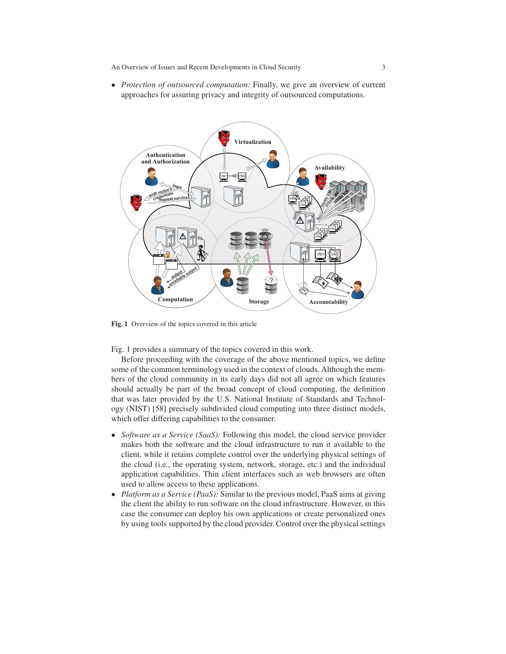An Overview of Issues and Recent Developments in Cloud Security 3

• *Protection of outsourced computation:* Finally, we give an overview of current approaches for assuring privacy and integrity of outsourced computations.



Fig. 1 Overview of the topics covered in this article

Fig. 1 provides a summary of the topics covered in this work.

Before proceeding with the coverage of the above mentioned topics, we define some of the common terminology used in the context of clouds. Although the members of the cloud community in its early days did not all agree on which features should actually be part of the broad concept of cloud computing, the definition that was later provided by the U.S. National Institute of Standards and Technology (NIST) [58] precisely subdivided cloud computing into three distinct models, which offer differing capabilities to the consumer.

- *Software as a Service (SaaS):* Following this model, the cloud service provider makes both the software and the cloud infrastructure to run it available to the client, while it retains complete control over the underlying physical settings of the cloud (i.e., the operating system, network, storage, etc.) and the individual application capabilities. Thin client interfaces such as web browsers are often used to allow access to these applications.
- *Platform as a Service (PaaS):* Similar to the previous model, PaaS aims at giving the client the ability to run software on the cloud infrastructure. However, in this case the consumer can deploy his own applications or create personalized ones by using tools supported by the cloud provider. Control over the physical settings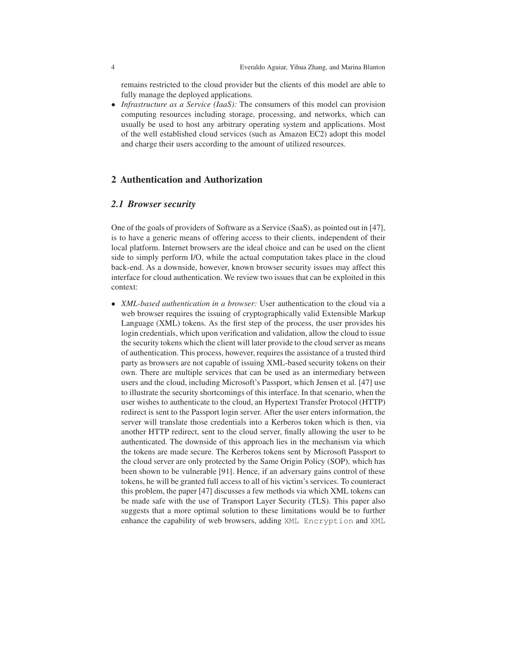remains restricted to the cloud provider but the clients of this model are able to fully manage the deployed applications.

• *Infrastructure as a Service (IaaS):* The consumers of this model can provision computing resources including storage, processing, and networks, which can usually be used to host any arbitrary operating system and applications. Most of the well established cloud services (such as Amazon EC2) adopt this model and charge their users according to the amount of utilized resources.

### 2 Authentication and Authorization

#### *2.1 Browser security*

One of the goals of providers of Software as a Service (SaaS), as pointed out in [47], is to have a generic means of offering access to their clients, independent of their local platform. Internet browsers are the ideal choice and can be used on the client side to simply perform I/O, while the actual computation takes place in the cloud back-end. As a downside, however, known browser security issues may affect this interface for cloud authentication. We review two issues that can be exploited in this context:

• *XML-based authentication in a browser:* User authentication to the cloud via a web browser requires the issuing of cryptographically valid Extensible Markup Language (XML) tokens. As the first step of the process, the user provides his login credentials, which upon verification and validation, allow the cloud to issue the security tokens which the client will later provide to the cloud server as means of authentication. This process, however, requires the assistance of a trusted third party as browsers are not capable of issuing XML-based security tokens on their own. There are multiple services that can be used as an intermediary between users and the cloud, including Microsoft's Passport, which Jensen et al. [47] use to illustrate the security shortcomings of this interface. In that scenario, when the user wishes to authenticate to the cloud, an Hypertext Transfer Protocol (HTTP) redirect is sent to the Passport login server. After the user enters information, the server will translate those credentials into a Kerberos token which is then, via another HTTP redirect, sent to the cloud server, finally allowing the user to be authenticated. The downside of this approach lies in the mechanism via which the tokens are made secure. The Kerberos tokens sent by Microsoft Passport to the cloud server are only protected by the Same Origin Policy (SOP), which has been shown to be vulnerable [91]. Hence, if an adversary gains control of these tokens, he will be granted full access to all of his victim's services. To counteract this problem, the paper [47] discusses a few methods via which XML tokens can be made safe with the use of Transport Layer Security (TLS). This paper also suggests that a more optimal solution to these limitations would be to further enhance the capability of web browsers, adding XML Encryption and XML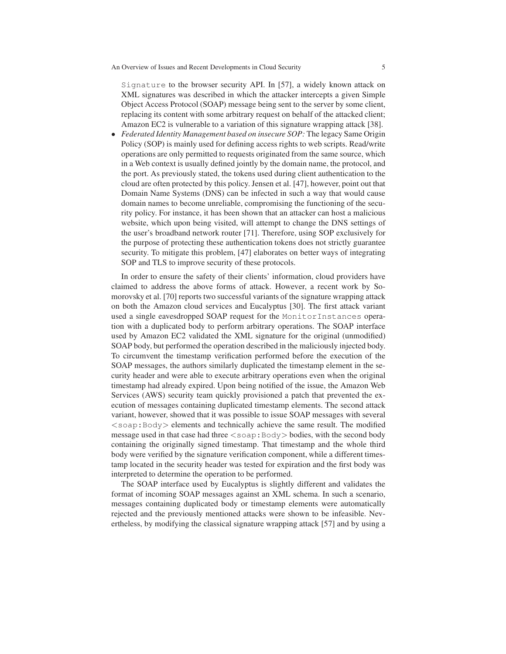Signature to the browser security API. In [57], a widely known attack on XML signatures was described in which the attacker intercepts a given Simple Object Access Protocol (SOAP) message being sent to the server by some client, replacing its content with some arbitrary request on behalf of the attacked client; Amazon EC2 is vulnerable to a variation of this signature wrapping attack [38].

• *Federated Identity Management based on insecure SOP:* The legacy Same Origin Policy (SOP) is mainly used for defining access rights to web scripts. Read/write operations are only permitted to requests originated from the same source, which in a Web context is usually defined jointly by the domain name, the protocol, and the port. As previously stated, the tokens used during client authentication to the cloud are often protected by this policy. Jensen et al. [47], however, point out that Domain Name Systems (DNS) can be infected in such a way that would cause domain names to become unreliable, compromising the functioning of the security policy. For instance, it has been shown that an attacker can host a malicious website, which upon being visited, will attempt to change the DNS settings of the user's broadband network router [71]. Therefore, using SOP exclusively for the purpose of protecting these authentication tokens does not strictly guarantee security. To mitigate this problem, [47] elaborates on better ways of integrating SOP and TLS to improve security of these protocols.

In order to ensure the safety of their clients' information, cloud providers have claimed to address the above forms of attack. However, a recent work by Somorovsky et al. [70] reports two successful variants of the signature wrapping attack on both the Amazon cloud services and Eucalyptus [30]. The first attack variant used a single eavesdropped SOAP request for the MonitorInstances operation with a duplicated body to perform arbitrary operations. The SOAP interface used by Amazon EC2 validated the XML signature for the original (unmodified) SOAP body, but performed the operation described in the maliciously injected body. To circumvent the timestamp verification performed before the execution of the SOAP messages, the authors similarly duplicated the timestamp element in the security header and were able to execute arbitrary operations even when the original timestamp had already expired. Upon being notified of the issue, the Amazon Web Services (AWS) security team quickly provisioned a patch that prevented the execution of messages containing duplicated timestamp elements. The second attack variant, however, showed that it was possible to issue SOAP messages with several  $\langle$ soap:Body $\rangle$  elements and technically achieve the same result. The modified message used in that case had three <soap:Body> bodies, with the second body containing the originally signed timestamp. That timestamp and the whole third body were verified by the signature verification component, while a different timestamp located in the security header was tested for expiration and the first body was interpreted to determine the operation to be performed.

The SOAP interface used by Eucalyptus is slightly different and validates the format of incoming SOAP messages against an XML schema. In such a scenario, messages containing duplicated body or timestamp elements were automatically rejected and the previously mentioned attacks were shown to be infeasible. Nevertheless, by modifying the classical signature wrapping attack [57] and by using a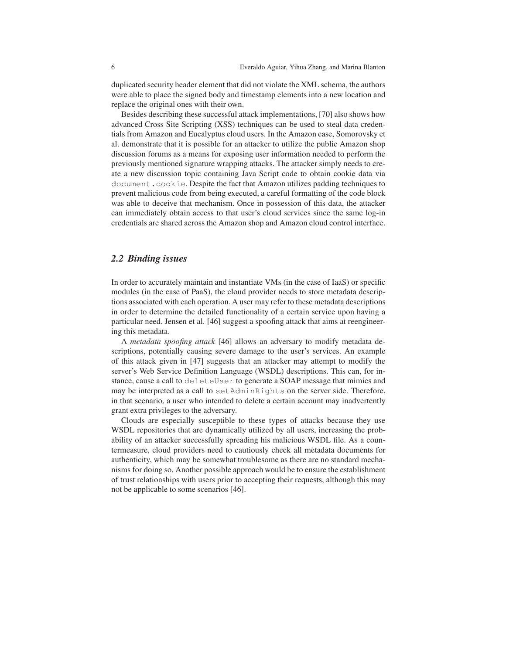duplicated security header element that did not violate the XML schema, the authors were able to place the signed body and timestamp elements into a new location and replace the original ones with their own.

Besides describing these successful attack implementations, [70] also shows how advanced Cross Site Scripting (XSS) techniques can be used to steal data credentials from Amazon and Eucalyptus cloud users. In the Amazon case, Somorovsky et al. demonstrate that it is possible for an attacker to utilize the public Amazon shop discussion forums as a means for exposing user information needed to perform the previously mentioned signature wrapping attacks. The attacker simply needs to create a new discussion topic containing Java Script code to obtain cookie data via document.cookie. Despite the fact that Amazon utilizes padding techniques to prevent malicious code from being executed, a careful formatting of the code block was able to deceive that mechanism. Once in possession of this data, the attacker can immediately obtain access to that user's cloud services since the same log-in credentials are shared across the Amazon shop and Amazon cloud control interface.

### *2.2 Binding issues*

In order to accurately maintain and instantiate VMs (in the case of IaaS) or specific modules (in the case of PaaS), the cloud provider needs to store metadata descriptions associated with each operation. A user may refer to these metadata descriptions in order to determine the detailed functionality of a certain service upon having a particular need. Jensen et al. [46] suggest a spoofing attack that aims at reengineering this metadata.

A *metadata spoofing attack* [46] allows an adversary to modify metadata descriptions, potentially causing severe damage to the user's services. An example of this attack given in [47] suggests that an attacker may attempt to modify the server's Web Service Definition Language (WSDL) descriptions. This can, for instance, cause a call to deleteUser to generate a SOAP message that mimics and may be interpreted as a call to setAdminRights on the server side. Therefore, in that scenario, a user who intended to delete a certain account may inadvertently grant extra privileges to the adversary.

Clouds are especially susceptible to these types of attacks because they use WSDL repositories that are dynamically utilized by all users, increasing the probability of an attacker successfully spreading his malicious WSDL file. As a countermeasure, cloud providers need to cautiously check all metadata documents for authenticity, which may be somewhat troublesome as there are no standard mechanisms for doing so. Another possible approach would be to ensure the establishment of trust relationships with users prior to accepting their requests, although this may not be applicable to some scenarios [46].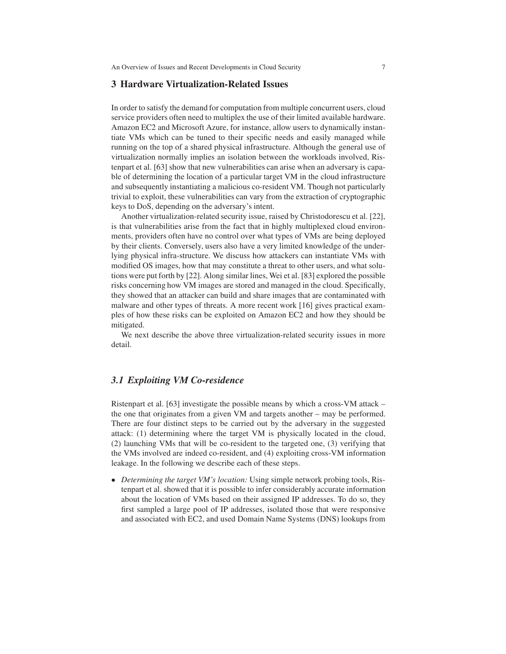#### 3 Hardware Virtualization-Related Issues

In order to satisfy the demand for computation from multiple concurrent users, cloud service providers often need to multiplex the use of their limited available hardware. Amazon EC2 and Microsoft Azure, for instance, allow users to dynamically instantiate VMs which can be tuned to their specific needs and easily managed while running on the top of a shared physical infrastructure. Although the general use of virtualization normally implies an isolation between the workloads involved, Ristenpart et al. [63] show that new vulnerabilities can arise when an adversary is capable of determining the location of a particular target VM in the cloud infrastructure and subsequently instantiating a malicious co-resident VM. Though not particularly trivial to exploit, these vulnerabilities can vary from the extraction of cryptographic keys to DoS, depending on the adversary's intent.

Another virtualization-related security issue, raised by Christodorescu et al. [22], is that vulnerabilities arise from the fact that in highly multiplexed cloud environments, providers often have no control over what types of VMs are being deployed by their clients. Conversely, users also have a very limited knowledge of the underlying physical infra-structure. We discuss how attackers can instantiate VMs with modified OS images, how that may constitute a threat to other users, and what solutions were put forth by [22]. Along similar lines, Wei et al. [83] explored the possible risks concerning how VM images are stored and managed in the cloud. Specifically, they showed that an attacker can build and share images that are contaminated with malware and other types of threats. A more recent work [16] gives practical examples of how these risks can be exploited on Amazon EC2 and how they should be mitigated.

We next describe the above three virtualization-related security issues in more detail.

#### *3.1 Exploiting VM Co-residence*

Ristenpart et al. [63] investigate the possible means by which a cross-VM attack – the one that originates from a given VM and targets another – may be performed. There are four distinct steps to be carried out by the adversary in the suggested attack: (1) determining where the target VM is physically located in the cloud, (2) launching VMs that will be co-resident to the targeted one, (3) verifying that the VMs involved are indeed co-resident, and (4) exploiting cross-VM information leakage. In the following we describe each of these steps.

• *Determining the target VM's location:* Using simple network probing tools, Ristenpart et al. showed that it is possible to infer considerably accurate information about the location of VMs based on their assigned IP addresses. To do so, they first sampled a large pool of IP addresses, isolated those that were responsive and associated with EC2, and used Domain Name Systems (DNS) lookups from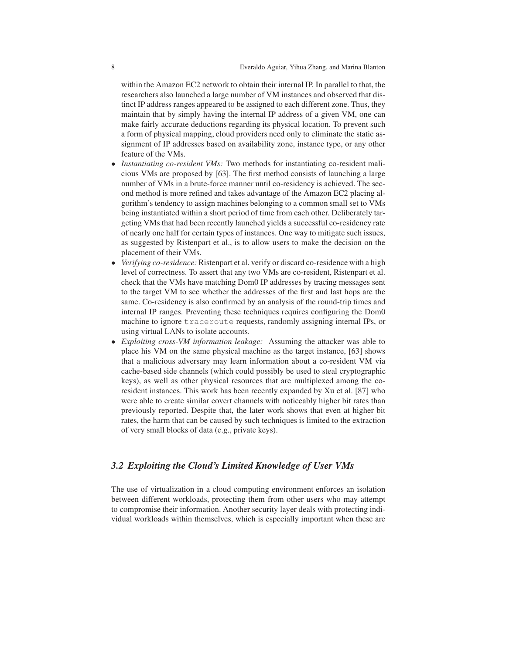within the Amazon EC2 network to obtain their internal IP. In parallel to that, the researchers also launched a large number of VM instances and observed that distinct IP address ranges appeared to be assigned to each different zone. Thus, they maintain that by simply having the internal IP address of a given VM, one can make fairly accurate deductions regarding its physical location. To prevent such a form of physical mapping, cloud providers need only to eliminate the static assignment of IP addresses based on availability zone, instance type, or any other feature of the VMs.

- *Instantiating co-resident VMs:* Two methods for instantiating co-resident malicious VMs are proposed by [63]. The first method consists of launching a large number of VMs in a brute-force manner until co-residency is achieved. The second method is more refined and takes advantage of the Amazon EC2 placing algorithm's tendency to assign machines belonging to a common small set to VMs being instantiated within a short period of time from each other. Deliberately targeting VMs that had been recently launched yields a successful co-residency rate of nearly one half for certain types of instances. One way to mitigate such issues, as suggested by Ristenpart et al., is to allow users to make the decision on the placement of their VMs.
- *Verifying co-residence:* Ristenpart et al. verify or discard co-residence with a high level of correctness. To assert that any two VMs are co-resident, Ristenpart et al. check that the VMs have matching Dom0 IP addresses by tracing messages sent to the target VM to see whether the addresses of the first and last hops are the same. Co-residency is also confirmed by an analysis of the round-trip times and internal IP ranges. Preventing these techniques requires configuring the Dom0 machine to ignore traceroute requests, randomly assigning internal IPs, or using virtual LANs to isolate accounts.
- *Exploiting cross-VM information leakage:* Assuming the attacker was able to place his VM on the same physical machine as the target instance, [63] shows that a malicious adversary may learn information about a co-resident VM via cache-based side channels (which could possibly be used to steal cryptographic keys), as well as other physical resources that are multiplexed among the coresident instances. This work has been recently expanded by Xu et al. [87] who were able to create similar covert channels with noticeably higher bit rates than previously reported. Despite that, the later work shows that even at higher bit rates, the harm that can be caused by such techniques is limited to the extraction of very small blocks of data (e.g., private keys).

### *3.2 Exploiting the Cloud's Limited Knowledge of User VMs*

The use of virtualization in a cloud computing environment enforces an isolation between different workloads, protecting them from other users who may attempt to compromise their information. Another security layer deals with protecting individual workloads within themselves, which is especially important when these are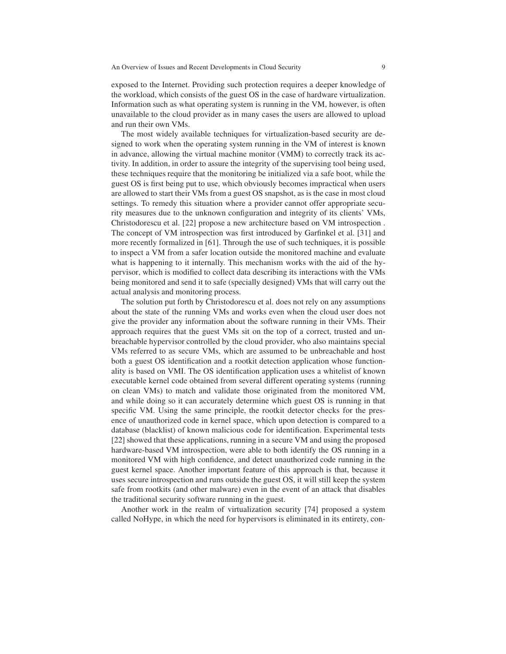exposed to the Internet. Providing such protection requires a deeper knowledge of the workload, which consists of the guest OS in the case of hardware virtualization. Information such as what operating system is running in the VM, however, is often unavailable to the cloud provider as in many cases the users are allowed to upload and run their own VMs.

The most widely available techniques for virtualization-based security are designed to work when the operating system running in the VM of interest is known in advance, allowing the virtual machine monitor (VMM) to correctly track its activity. In addition, in order to assure the integrity of the supervising tool being used, these techniques require that the monitoring be initialized via a safe boot, while the guest OS is first being put to use, which obviously becomes impractical when users are allowed to start their VMs from a guest OS snapshot, as is the case in most cloud settings. To remedy this situation where a provider cannot offer appropriate security measures due to the unknown configuration and integrity of its clients' VMs, Christodorescu et al. [22] propose a new architecture based on VM introspection . The concept of VM introspection was first introduced by Garfinkel et al. [31] and more recently formalized in [61]. Through the use of such techniques, it is possible to inspect a VM from a safer location outside the monitored machine and evaluate what is happening to it internally. This mechanism works with the aid of the hypervisor, which is modified to collect data describing its interactions with the VMs being monitored and send it to safe (specially designed) VMs that will carry out the actual analysis and monitoring process.

The solution put forth by Christodorescu et al. does not rely on any assumptions about the state of the running VMs and works even when the cloud user does not give the provider any information about the software running in their VMs. Their approach requires that the guest VMs sit on the top of a correct, trusted and unbreachable hypervisor controlled by the cloud provider, who also maintains special VMs referred to as secure VMs, which are assumed to be unbreachable and host both a guest OS identification and a rootkit detection application whose functionality is based on VMI. The OS identification application uses a whitelist of known executable kernel code obtained from several different operating systems (running on clean VMs) to match and validate those originated from the monitored VM, and while doing so it can accurately determine which guest OS is running in that specific VM. Using the same principle, the rootkit detector checks for the presence of unauthorized code in kernel space, which upon detection is compared to a database (blacklist) of known malicious code for identification. Experimental tests [22] showed that these applications, running in a secure VM and using the proposed hardware-based VM introspection, were able to both identify the OS running in a monitored VM with high confidence, and detect unauthorized code running in the guest kernel space. Another important feature of this approach is that, because it uses secure introspection and runs outside the guest OS, it will still keep the system safe from rootkits (and other malware) even in the event of an attack that disables the traditional security software running in the guest.

Another work in the realm of virtualization security [74] proposed a system called NoHype, in which the need for hypervisors is eliminated in its entirety, con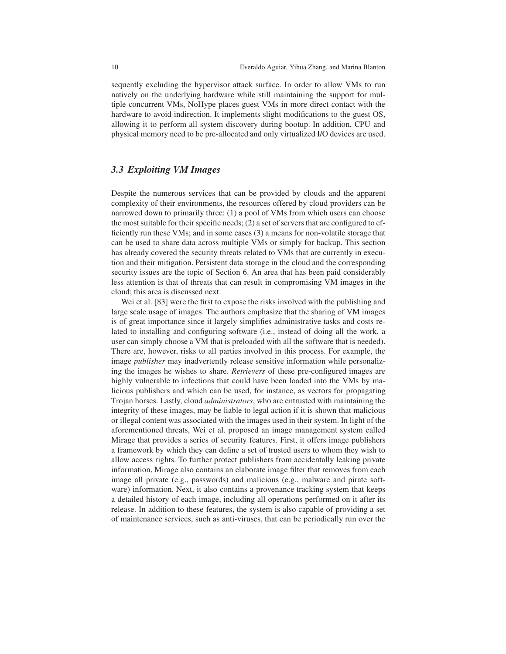sequently excluding the hypervisor attack surface. In order to allow VMs to run natively on the underlying hardware while still maintaining the support for multiple concurrent VMs, NoHype places guest VMs in more direct contact with the hardware to avoid indirection. It implements slight modifications to the guest OS, allowing it to perform all system discovery during bootup. In addition, CPU and physical memory need to be pre-allocated and only virtualized I/O devices are used.

#### *3.3 Exploiting VM Images*

Despite the numerous services that can be provided by clouds and the apparent complexity of their environments, the resources offered by cloud providers can be narrowed down to primarily three: (1) a pool of VMs from which users can choose the most suitable for their specific needs; (2) a set of servers that are configured to efficiently run these VMs; and in some cases (3) a means for non-volatile storage that can be used to share data across multiple VMs or simply for backup. This section has already covered the security threats related to VMs that are currently in execution and their mitigation. Persistent data storage in the cloud and the corresponding security issues are the topic of Section 6. An area that has been paid considerably less attention is that of threats that can result in compromising VM images in the cloud; this area is discussed next.

Wei et al. [83] were the first to expose the risks involved with the publishing and large scale usage of images. The authors emphasize that the sharing of VM images is of great importance since it largely simplifies administrative tasks and costs related to installing and configuring software (i.e., instead of doing all the work, a user can simply choose a VM that is preloaded with all the software that is needed). There are, however, risks to all parties involved in this process. For example, the image *publisher* may inadvertently release sensitive information while personalizing the images he wishes to share. *Retrievers* of these pre-configured images are highly vulnerable to infections that could have been loaded into the VMs by malicious publishers and which can be used, for instance, as vectors for propagating Trojan horses. Lastly, cloud *administrators*, who are entrusted with maintaining the integrity of these images, may be liable to legal action if it is shown that malicious or illegal content was associated with the images used in their system. In light of the aforementioned threats, Wei et al. proposed an image management system called Mirage that provides a series of security features. First, it offers image publishers a framework by which they can define a set of trusted users to whom they wish to allow access rights. To further protect publishers from accidentally leaking private information, Mirage also contains an elaborate image filter that removes from each image all private (e.g., passwords) and malicious (e.g., malware and pirate software) information. Next, it also contains a provenance tracking system that keeps a detailed history of each image, including all operations performed on it after its release. In addition to these features, the system is also capable of providing a set of maintenance services, such as anti-viruses, that can be periodically run over the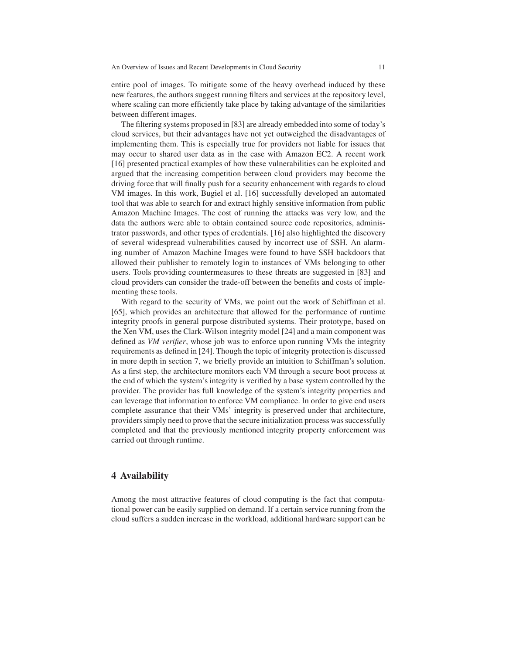entire pool of images. To mitigate some of the heavy overhead induced by these new features, the authors suggest running filters and services at the repository level, where scaling can more efficiently take place by taking advantage of the similarities between different images.

The filtering systems proposed in [83] are already embedded into some of today's cloud services, but their advantages have not yet outweighed the disadvantages of implementing them. This is especially true for providers not liable for issues that may occur to shared user data as in the case with Amazon EC2. A recent work [16] presented practical examples of how these vulnerabilities can be exploited and argued that the increasing competition between cloud providers may become the driving force that will finally push for a security enhancement with regards to cloud VM images. In this work, Bugiel et al. [16] successfully developed an automated tool that was able to search for and extract highly sensitive information from public Amazon Machine Images. The cost of running the attacks was very low, and the data the authors were able to obtain contained source code repositories, administrator passwords, and other types of credentials. [16] also highlighted the discovery of several widespread vulnerabilities caused by incorrect use of SSH. An alarming number of Amazon Machine Images were found to have SSH backdoors that allowed their publisher to remotely login to instances of VMs belonging to other users. Tools providing countermeasures to these threats are suggested in [83] and cloud providers can consider the trade-off between the benefits and costs of implementing these tools.

With regard to the security of VMs, we point out the work of Schiffman et al. [65], which provides an architecture that allowed for the performance of runtime integrity proofs in general purpose distributed systems. Their prototype, based on the Xen VM, uses the Clark-Wilson integrity model [24] and a main component was defined as *VM verifier*, whose job was to enforce upon running VMs the integrity requirements as defined in [24]. Though the topic of integrity protection is discussed in more depth in section 7, we briefly provide an intuition to Schiffman's solution. As a first step, the architecture monitors each VM through a secure boot process at the end of which the system's integrity is verified by a base system controlled by the provider. The provider has full knowledge of the system's integrity properties and can leverage that information to enforce VM compliance. In order to give end users complete assurance that their VMs' integrity is preserved under that architecture, providers simply need to prove that the secure initialization process was successfully completed and that the previously mentioned integrity property enforcement was carried out through runtime.

#### 4 Availability

Among the most attractive features of cloud computing is the fact that computational power can be easily supplied on demand. If a certain service running from the cloud suffers a sudden increase in the workload, additional hardware support can be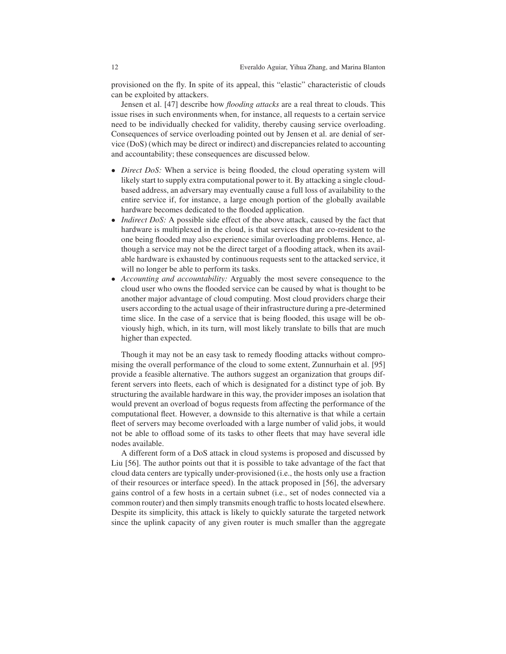provisioned on the fly. In spite of its appeal, this "elastic" characteristic of clouds can be exploited by attackers.

Jensen et al. [47] describe how *flooding attacks* are a real threat to clouds. This issue rises in such environments when, for instance, all requests to a certain service need to be individually checked for validity, thereby causing service overloading. Consequences of service overloading pointed out by Jensen et al. are denial of service (DoS) (which may be direct or indirect) and discrepancies related to accounting and accountability; these consequences are discussed below.

- *Direct DoS:* When a service is being flooded, the cloud operating system will likely start to supply extra computational power to it. By attacking a single cloudbased address, an adversary may eventually cause a full loss of availability to the entire service if, for instance, a large enough portion of the globally available hardware becomes dedicated to the flooded application.
- *Indirect DoS:* A possible side effect of the above attack, caused by the fact that hardware is multiplexed in the cloud, is that services that are co-resident to the one being flooded may also experience similar overloading problems. Hence, although a service may not be the direct target of a flooding attack, when its available hardware is exhausted by continuous requests sent to the attacked service, it will no longer be able to perform its tasks.
- *Accounting and accountability:* Arguably the most severe consequence to the cloud user who owns the flooded service can be caused by what is thought to be another major advantage of cloud computing. Most cloud providers charge their users according to the actual usage of their infrastructure during a pre-determined time slice. In the case of a service that is being flooded, this usage will be obviously high, which, in its turn, will most likely translate to bills that are much higher than expected.

Though it may not be an easy task to remedy flooding attacks without compromising the overall performance of the cloud to some extent, Zunnurhain et al. [95] provide a feasible alternative. The authors suggest an organization that groups different servers into fleets, each of which is designated for a distinct type of job. By structuring the available hardware in this way, the provider imposes an isolation that would prevent an overload of bogus requests from affecting the performance of the computational fleet. However, a downside to this alternative is that while a certain fleet of servers may become overloaded with a large number of valid jobs, it would not be able to offload some of its tasks to other fleets that may have several idle nodes available.

A different form of a DoS attack in cloud systems is proposed and discussed by Liu [56]. The author points out that it is possible to take advantage of the fact that cloud data centers are typically under-provisioned (i.e., the hosts only use a fraction of their resources or interface speed). In the attack proposed in [56], the adversary gains control of a few hosts in a certain subnet (i.e., set of nodes connected via a common router) and then simply transmits enough traffic to hosts located elsewhere. Despite its simplicity, this attack is likely to quickly saturate the targeted network since the uplink capacity of any given router is much smaller than the aggregate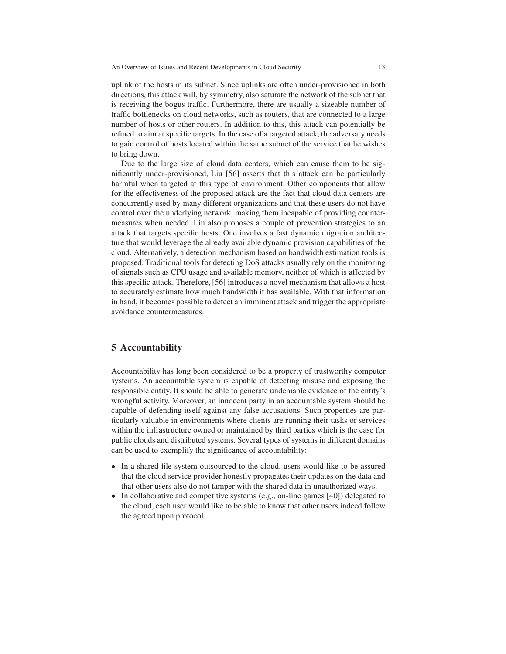uplink of the hosts in its subnet. Since uplinks are often under-provisioned in both directions, this attack will, by symmetry, also saturate the network of the subnet that is receiving the bogus traffic. Furthermore, there are usually a sizeable number of traffic bottlenecks on cloud networks, such as routers, that are connected to a large number of hosts or other routers. In addition to this, this attack can potentially be refined to aim at specific targets. In the case of a targeted attack, the adversary needs to gain control of hosts located within the same subnet of the service that he wishes to bring down.

Due to the large size of cloud data centers, which can cause them to be significantly under-provisioned, Liu [56] asserts that this attack can be particularly harmful when targeted at this type of environment. Other components that allow for the effectiveness of the proposed attack are the fact that cloud data centers are concurrently used by many different organizations and that these users do not have control over the underlying network, making them incapable of providing countermeasures when needed. Liu also proposes a couple of prevention strategies to an attack that targets specific hosts. One involves a fast dynamic migration architecture that would leverage the already available dynamic provision capabilities of the cloud. Alternatively, a detection mechanism based on bandwidth estimation tools is proposed. Traditional tools for detecting DoS attacks usually rely on the monitoring of signals such as CPU usage and available memory, neither of which is affected by this specific attack. Therefore, [56] introduces a novel mechanism that allows a host to accurately estimate how much bandwidth it has available. With that information in hand, it becomes possible to detect an imminent attack and trigger the appropriate avoidance countermeasures.

## 5 Accountability

Accountability has long been considered to be a property of trustworthy computer systems. An accountable system is capable of detecting misuse and exposing the responsible entity. It should be able to generate undeniable evidence of the entity's wrongful activity. Moreover, an innocent party in an accountable system should be capable of defending itself against any false accusations. Such properties are particularly valuable in environments where clients are running their tasks or services within the infrastructure owned or maintained by third parties which is the case for public clouds and distributed systems. Several types of systems in different domains can be used to exemplify the significance of accountability:

- In a shared file system outsourced to the cloud, users would like to be assured that the cloud service provider honestly propagates their updates on the data and that other users also do not tamper with the shared data in unauthorized ways.
- In collaborative and competitive systems (e.g., on-line games [40]) delegated to the cloud, each user would like to be able to know that other users indeed follow the agreed upon protocol.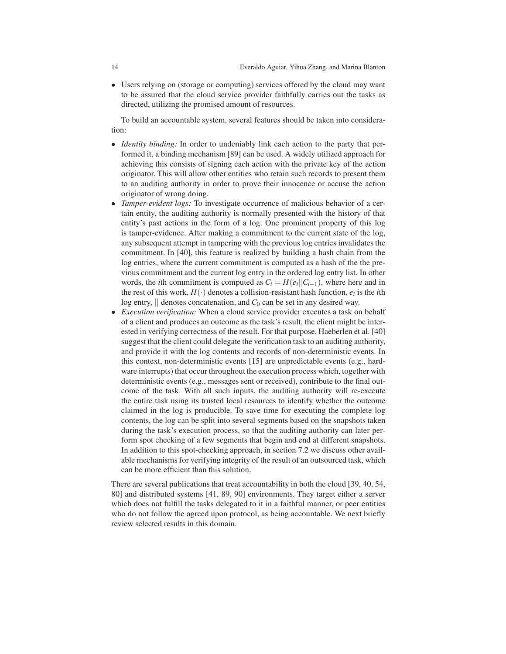• Users relying on (storage or computing) services offered by the cloud may want to be assured that the cloud service provider faithfully carries out the tasks as directed, utilizing the promised amount of resources.

To build an accountable system, several features should be taken into consideration:

- *Identity binding:* In order to undeniably link each action to the party that performed it, a binding mechanism [89] can be used. A widely utilized approach for achieving this consists of signing each action with the private key of the action originator. This will allow other entities who retain such records to present them to an auditing authority in order to prove their innocence or accuse the action originator of wrong doing.
- *Tamper-evident logs:* To investigate occurrence of malicious behavior of a certain entity, the auditing authority is normally presented with the history of that entity's past actions in the form of a log. One prominent property of this log is tamper-evidence. After making a commitment to the current state of the log, any subsequent attempt in tampering with the previous log entries invalidates the commitment. In [40], this feature is realized by building a hash chain from the log entries, where the current commitment is computed as a hash of the the previous commitment and the current log entry in the ordered log entry list. In other words, the *i*th commitment is computed as  $C_i = H(e_i||C_{i-1})$ , where here and in the rest of this work,  $H(\cdot)$  denotes a collision-resistant hash function,  $e_i$  is the *i*th log entry,  $\vert \vert$  denotes concatenation, and  $C_0$  can be set in any desired way.
- *Execution verification:* When a cloud service provider executes a task on behalf of a client and produces an outcome as the task's result, the client might be interested in verifying correctness of the result. For that purpose, Haeberlen et al. [40] suggest that the client could delegate the verification task to an auditing authority, and provide it with the log contents and records of non-deterministic events. In this context, non-deterministic events [15] are unpredictable events (e.g., hardware interrupts) that occur throughout the execution process which, together with deterministic events (e.g., messages sent or received), contribute to the final outcome of the task. With all such inputs, the auditing authority will re-execute the entire task using its trusted local resources to identify whether the outcome claimed in the log is producible. To save time for executing the complete log contents, the log can be split into several segments based on the snapshots taken during the task's execution process, so that the auditing authority can later perform spot checking of a few segments that begin and end at different snapshots. In addition to this spot-checking approach, in section 7.2 we discuss other available mechanisms for verifying integrity of the result of an outsourced task, which can be more efficient than this solution.

There are several publications that treat accountability in both the cloud [39, 40, 54, 80] and distributed systems [41, 89, 90] environments. They target either a server which does not fulfill the tasks delegated to it in a faithful manner, or peer entities who do not follow the agreed upon protocol, as being accountable. We next briefly review selected results in this domain.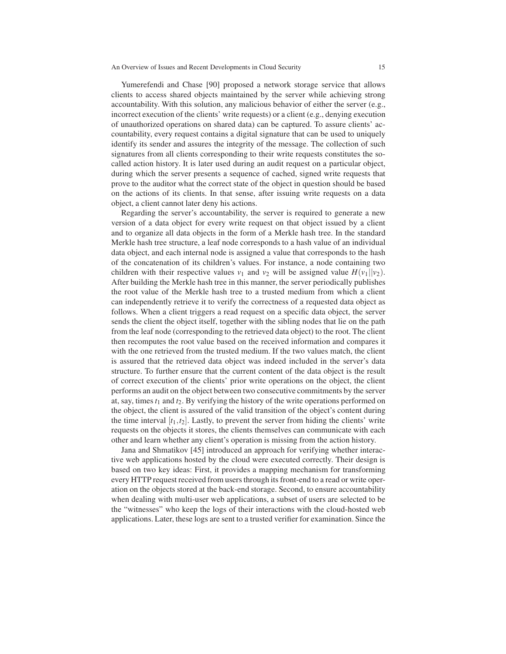Yumerefendi and Chase [90] proposed a network storage service that allows clients to access shared objects maintained by the server while achieving strong accountability. With this solution, any malicious behavior of either the server (e.g., incorrect execution of the clients' write requests) or a client (e.g., denying execution of unauthorized operations on shared data) can be captured. To assure clients' accountability, every request contains a digital signature that can be used to uniquely identify its sender and assures the integrity of the message. The collection of such signatures from all clients corresponding to their write requests constitutes the socalled action history. It is later used during an audit request on a particular object, during which the server presents a sequence of cached, signed write requests that prove to the auditor what the correct state of the object in question should be based on the actions of its clients. In that sense, after issuing write requests on a data object, a client cannot later deny his actions.

Regarding the server's accountability, the server is required to generate a new version of a data object for every write request on that object issued by a client and to organize all data objects in the form of a Merkle hash tree. In the standard Merkle hash tree structure, a leaf node corresponds to a hash value of an individual data object, and each internal node is assigned a value that corresponds to the hash of the concatenation of its children's values. For instance, a node containing two children with their respective values  $v_1$  and  $v_2$  will be assigned value  $H(v_1||v_2)$ . After building the Merkle hash tree in this manner, the server periodically publishes the root value of the Merkle hash tree to a trusted medium from which a client can independently retrieve it to verify the correctness of a requested data object as follows. When a client triggers a read request on a specific data object, the server sends the client the object itself, together with the sibling nodes that lie on the path from the leaf node (corresponding to the retrieved data object) to the root. The client then recomputes the root value based on the received information and compares it with the one retrieved from the trusted medium. If the two values match, the client is assured that the retrieved data object was indeed included in the server's data structure. To further ensure that the current content of the data object is the result of correct execution of the clients' prior write operations on the object, the client performs an audit on the object between two consecutive commitments by the server at, say, times  $t_1$  and  $t_2$ . By verifying the history of the write operations performed on the object, the client is assured of the valid transition of the object's content during the time interval  $[t_1,t_2]$ . Lastly, to prevent the server from hiding the clients' write requests on the objects it stores, the clients themselves can communicate with each other and learn whether any client's operation is missing from the action history.

Jana and Shmatikov [45] introduced an approach for verifying whether interactive web applications hosted by the cloud were executed correctly. Their design is based on two key ideas: First, it provides a mapping mechanism for transforming every HTTP request received from users through its front-end to a read or write operation on the objects stored at the back-end storage. Second, to ensure accountability when dealing with multi-user web applications, a subset of users are selected to be the "witnesses" who keep the logs of their interactions with the cloud-hosted web applications. Later, these logs are sent to a trusted verifier for examination. Since the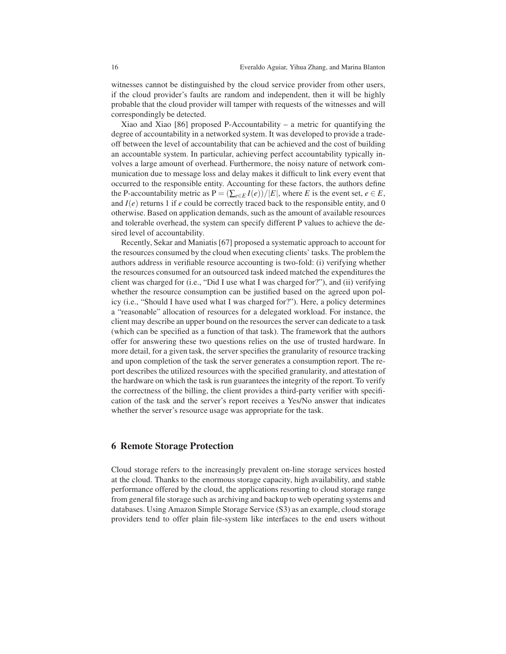witnesses cannot be distinguished by the cloud service provider from other users, if the cloud provider's faults are random and independent, then it will be highly probable that the cloud provider will tamper with requests of the witnesses and will correspondingly be detected.

Xiao and Xiao  $[86]$  proposed P-Accountability – a metric for quantifying the degree of accountability in a networked system. It was developed to provide a tradeoff between the level of accountability that can be achieved and the cost of building an accountable system. In particular, achieving perfect accountability typically involves a large amount of overhead. Furthermore, the noisy nature of network communication due to message loss and delay makes it difficult to link every event that occurred to the responsible entity. Accounting for these factors, the authors define the P-accountability metric as  $P = (\sum_{e \in E} I(e))/|E|$ , where *E* is the event set,  $e \in E$ , and  $I(e)$  returns 1 if  $e$  could be correctly traced back to the responsible entity, and 0 otherwise. Based on application demands, such as the amount of available resources and tolerable overhead, the system can specify different P values to achieve the desired level of accountability.

Recently, Sekar and Maniatis [67] proposed a systematic approach to account for the resources consumed by the cloud when executing clients' tasks. The problem the authors address in verifiable resource accounting is two-fold: (i) verifying whether the resources consumed for an outsourced task indeed matched the expenditures the client was charged for (i.e., "Did I use what I was charged for?"), and (ii) verifying whether the resource consumption can be justified based on the agreed upon policy (i.e., "Should I have used what I was charged for?"). Here, a policy determines a "reasonable" allocation of resources for a delegated workload. For instance, the client may describe an upper bound on the resources the server can dedicate to a task (which can be specified as a function of that task). The framework that the authors offer for answering these two questions relies on the use of trusted hardware. In more detail, for a given task, the server specifies the granularity of resource tracking and upon completion of the task the server generates a consumption report. The report describes the utilized resources with the specified granularity, and attestation of the hardware on which the task is run guarantees the integrity of the report. To verify the correctness of the billing, the client provides a third-party verifier with specification of the task and the server's report receives a Yes/No answer that indicates whether the server's resource usage was appropriate for the task.

#### 6 Remote Storage Protection

Cloud storage refers to the increasingly prevalent on-line storage services hosted at the cloud. Thanks to the enormous storage capacity, high availability, and stable performance offered by the cloud, the applications resorting to cloud storage range from general file storage such as archiving and backup to web operating systems and databases. Using Amazon Simple Storage Service (S3) as an example, cloud storage providers tend to offer plain file-system like interfaces to the end users without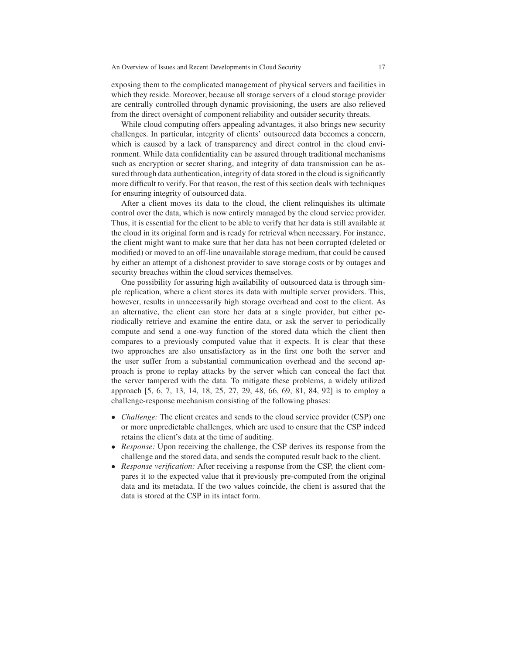exposing them to the complicated management of physical servers and facilities in which they reside. Moreover, because all storage servers of a cloud storage provider are centrally controlled through dynamic provisioning, the users are also relieved from the direct oversight of component reliability and outsider security threats.

While cloud computing offers appealing advantages, it also brings new security challenges. In particular, integrity of clients' outsourced data becomes a concern, which is caused by a lack of transparency and direct control in the cloud environment. While data confidentiality can be assured through traditional mechanisms such as encryption or secret sharing, and integrity of data transmission can be assured through data authentication, integrity of data stored in the cloud is significantly more difficult to verify. For that reason, the rest of this section deals with techniques for ensuring integrity of outsourced data.

After a client moves its data to the cloud, the client relinquishes its ultimate control over the data, which is now entirely managed by the cloud service provider. Thus, it is essential for the client to be able to verify that her data is still available at the cloud in its original form and is ready for retrieval when necessary. For instance, the client might want to make sure that her data has not been corrupted (deleted or modified) or moved to an off-line unavailable storage medium, that could be caused by either an attempt of a dishonest provider to save storage costs or by outages and security breaches within the cloud services themselves.

One possibility for assuring high availability of outsourced data is through simple replication, where a client stores its data with multiple server providers. This, however, results in unnecessarily high storage overhead and cost to the client. As an alternative, the client can store her data at a single provider, but either periodically retrieve and examine the entire data, or ask the server to periodically compute and send a one-way function of the stored data which the client then compares to a previously computed value that it expects. It is clear that these two approaches are also unsatisfactory as in the first one both the server and the user suffer from a substantial communication overhead and the second approach is prone to replay attacks by the server which can conceal the fact that the server tampered with the data. To mitigate these problems, a widely utilized approach [5, 6, 7, 13, 14, 18, 25, 27, 29, 48, 66, 69, 81, 84, 92] is to employ a challenge-response mechanism consisting of the following phases:

- *Challenge:* The client creates and sends to the cloud service provider (CSP) one or more unpredictable challenges, which are used to ensure that the CSP indeed retains the client's data at the time of auditing.
- *Response:* Upon receiving the challenge, the CSP derives its response from the challenge and the stored data, and sends the computed result back to the client.
- *Response verification:* After receiving a response from the CSP, the client compares it to the expected value that it previously pre-computed from the original data and its metadata. If the two values coincide, the client is assured that the data is stored at the CSP in its intact form.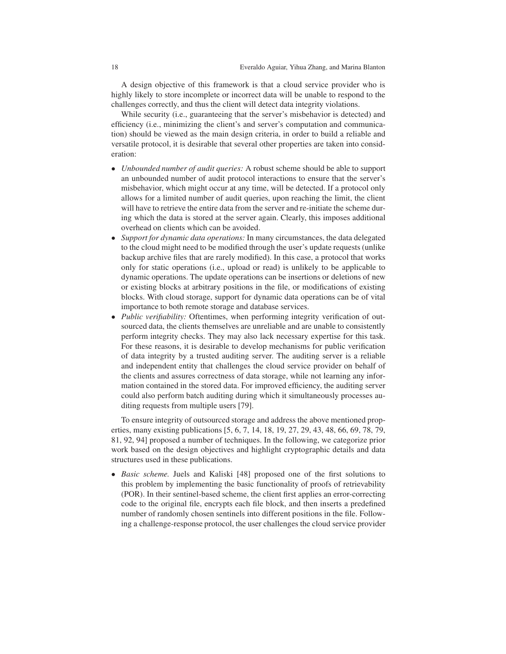A design objective of this framework is that a cloud service provider who is highly likely to store incomplete or incorrect data will be unable to respond to the challenges correctly, and thus the client will detect data integrity violations.

While security (i.e., guaranteeing that the server's misbehavior is detected) and efficiency (i.e., minimizing the client's and server's computation and communication) should be viewed as the main design criteria, in order to build a reliable and versatile protocol, it is desirable that several other properties are taken into consideration:

- *Unbounded number of audit queries:* A robust scheme should be able to support an unbounded number of audit protocol interactions to ensure that the server's misbehavior, which might occur at any time, will be detected. If a protocol only allows for a limited number of audit queries, upon reaching the limit, the client will have to retrieve the entire data from the server and re-initiate the scheme during which the data is stored at the server again. Clearly, this imposes additional overhead on clients which can be avoided.
- *Support for dynamic data operations:* In many circumstances, the data delegated to the cloud might need to be modified through the user's update requests (unlike backup archive files that are rarely modified). In this case, a protocol that works only for static operations (i.e., upload or read) is unlikely to be applicable to dynamic operations. The update operations can be insertions or deletions of new or existing blocks at arbitrary positions in the file, or modifications of existing blocks. With cloud storage, support for dynamic data operations can be of vital importance to both remote storage and database services.
- *Public verifiability:* Oftentimes, when performing integrity verification of outsourced data, the clients themselves are unreliable and are unable to consistently perform integrity checks. They may also lack necessary expertise for this task. For these reasons, it is desirable to develop mechanisms for public verification of data integrity by a trusted auditing server. The auditing server is a reliable and independent entity that challenges the cloud service provider on behalf of the clients and assures correctness of data storage, while not learning any information contained in the stored data. For improved efficiency, the auditing server could also perform batch auditing during which it simultaneously processes auditing requests from multiple users [79].

To ensure integrity of outsourced storage and address the above mentioned properties, many existing publications [5, 6, 7, 14, 18, 19, 27, 29, 43, 48, 66, 69, 78, 79, 81, 92, 94] proposed a number of techniques. In the following, we categorize prior work based on the design objectives and highlight cryptographic details and data structures used in these publications.

• *Basic scheme.* Juels and Kaliski [48] proposed one of the first solutions to this problem by implementing the basic functionality of proofs of retrievability (POR). In their sentinel-based scheme, the client first applies an error-correcting code to the original file, encrypts each file block, and then inserts a predefined number of randomly chosen sentinels into different positions in the file. Following a challenge-response protocol, the user challenges the cloud service provider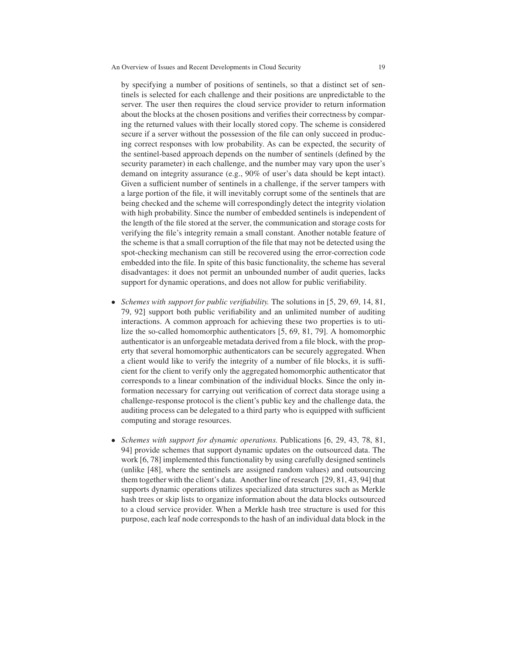by specifying a number of positions of sentinels, so that a distinct set of sentinels is selected for each challenge and their positions are unpredictable to the server. The user then requires the cloud service provider to return information about the blocks at the chosen positions and verifies their correctness by comparing the returned values with their locally stored copy. The scheme is considered secure if a server without the possession of the file can only succeed in producing correct responses with low probability. As can be expected, the security of the sentinel-based approach depends on the number of sentinels (defined by the security parameter) in each challenge, and the number may vary upon the user's demand on integrity assurance (e.g., 90% of user's data should be kept intact). Given a sufficient number of sentinels in a challenge, if the server tampers with a large portion of the file, it will inevitably corrupt some of the sentinels that are being checked and the scheme will correspondingly detect the integrity violation with high probability. Since the number of embedded sentinels is independent of the length of the file stored at the server, the communication and storage costs for verifying the file's integrity remain a small constant. Another notable feature of the scheme is that a small corruption of the file that may not be detected using the spot-checking mechanism can still be recovered using the error-correction code embedded into the file. In spite of this basic functionality, the scheme has several disadvantages: it does not permit an unbounded number of audit queries, lacks support for dynamic operations, and does not allow for public verifiability.

- *Schemes with support for public verifiability.* The solutions in [5, 29, 69, 14, 81, 79, 92] support both public verifiability and an unlimited number of auditing interactions. A common approach for achieving these two properties is to utilize the so-called homomorphic authenticators [5, 69, 81, 79]. A homomorphic authenticator is an unforgeable metadata derived from a file block, with the property that several homomorphic authenticators can be securely aggregated. When a client would like to verify the integrity of a number of file blocks, it is sufficient for the client to verify only the aggregated homomorphic authenticator that corresponds to a linear combination of the individual blocks. Since the only information necessary for carrying out verification of correct data storage using a challenge-response protocol is the client's public key and the challenge data, the auditing process can be delegated to a third party who is equipped with sufficient computing and storage resources.
- *Schemes with support for dynamic operations.* Publications [6, 29, 43, 78, 81, 94] provide schemes that support dynamic updates on the outsourced data. The work [6, 78] implemented this functionality by using carefully designed sentinels (unlike [48], where the sentinels are assigned random values) and outsourcing them together with the client's data. Another line of research [29, 81, 43, 94] that supports dynamic operations utilizes specialized data structures such as Merkle hash trees or skip lists to organize information about the data blocks outsourced to a cloud service provider. When a Merkle hash tree structure is used for this purpose, each leaf node corresponds to the hash of an individual data block in the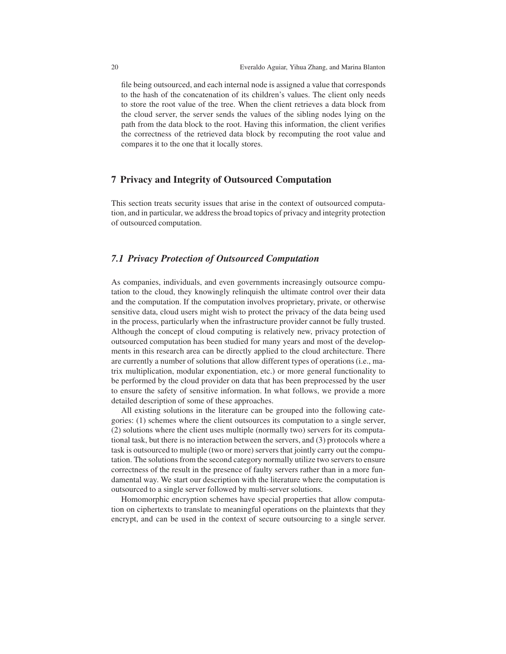file being outsourced, and each internal node is assigned a value that corresponds to the hash of the concatenation of its children's values. The client only needs to store the root value of the tree. When the client retrieves a data block from the cloud server, the server sends the values of the sibling nodes lying on the path from the data block to the root. Having this information, the client verifies the correctness of the retrieved data block by recomputing the root value and compares it to the one that it locally stores.

#### 7 Privacy and Integrity of Outsourced Computation

This section treats security issues that arise in the context of outsourced computation, and in particular, we address the broad topics of privacy and integrity protection of outsourced computation.

#### *7.1 Privacy Protection of Outsourced Computation*

As companies, individuals, and even governments increasingly outsource computation to the cloud, they knowingly relinquish the ultimate control over their data and the computation. If the computation involves proprietary, private, or otherwise sensitive data, cloud users might wish to protect the privacy of the data being used in the process, particularly when the infrastructure provider cannot be fully trusted. Although the concept of cloud computing is relatively new, privacy protection of outsourced computation has been studied for many years and most of the developments in this research area can be directly applied to the cloud architecture. There are currently a number of solutions that allow different types of operations (i.e., matrix multiplication, modular exponentiation, etc.) or more general functionality to be performed by the cloud provider on data that has been preprocessed by the user to ensure the safety of sensitive information. In what follows, we provide a more detailed description of some of these approaches.

All existing solutions in the literature can be grouped into the following categories: (1) schemes where the client outsources its computation to a single server, (2) solutions where the client uses multiple (normally two) servers for its computational task, but there is no interaction between the servers, and (3) protocols where a task is outsourced to multiple (two or more) servers that jointly carry out the computation. The solutions from the second category normally utilize two servers to ensure correctness of the result in the presence of faulty servers rather than in a more fundamental way. We start our description with the literature where the computation is outsourced to a single server followed by multi-server solutions.

Homomorphic encryption schemes have special properties that allow computation on ciphertexts to translate to meaningful operations on the plaintexts that they encrypt, and can be used in the context of secure outsourcing to a single server.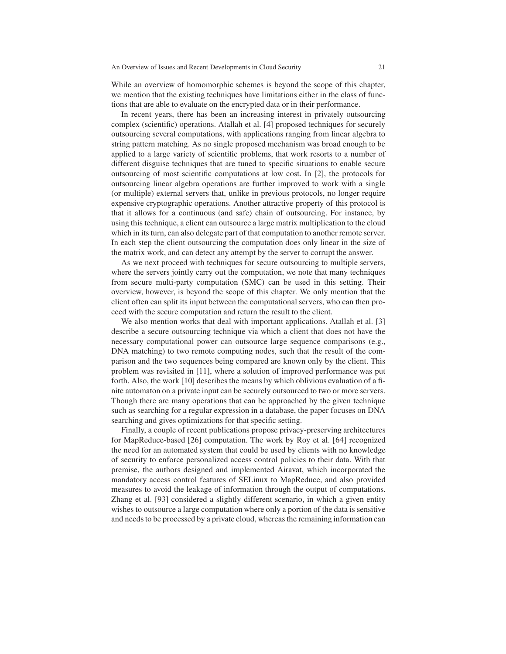While an overview of homomorphic schemes is beyond the scope of this chapter, we mention that the existing techniques have limitations either in the class of functions that are able to evaluate on the encrypted data or in their performance.

In recent years, there has been an increasing interest in privately outsourcing complex (scientific) operations. Atallah et al. [4] proposed techniques for securely outsourcing several computations, with applications ranging from linear algebra to string pattern matching. As no single proposed mechanism was broad enough to be applied to a large variety of scientific problems, that work resorts to a number of different disguise techniques that are tuned to specific situations to enable secure outsourcing of most scientific computations at low cost. In [2], the protocols for outsourcing linear algebra operations are further improved to work with a single (or multiple) external servers that, unlike in previous protocols, no longer require expensive cryptographic operations. Another attractive property of this protocol is that it allows for a continuous (and safe) chain of outsourcing. For instance, by using this technique, a client can outsource a large matrix multiplication to the cloud which in its turn, can also delegate part of that computation to another remote server. In each step the client outsourcing the computation does only linear in the size of the matrix work, and can detect any attempt by the server to corrupt the answer.

As we next proceed with techniques for secure outsourcing to multiple servers, where the servers jointly carry out the computation, we note that many techniques from secure multi-party computation (SMC) can be used in this setting. Their overview, however, is beyond the scope of this chapter. We only mention that the client often can split its input between the computational servers, who can then proceed with the secure computation and return the result to the client.

We also mention works that deal with important applications. Atallah et al. [3] describe a secure outsourcing technique via which a client that does not have the necessary computational power can outsource large sequence comparisons (e.g., DNA matching) to two remote computing nodes, such that the result of the comparison and the two sequences being compared are known only by the client. This problem was revisited in [11], where a solution of improved performance was put forth. Also, the work [10] describes the means by which oblivious evaluation of a finite automaton on a private input can be securely outsourced to two or more servers. Though there are many operations that can be approached by the given technique such as searching for a regular expression in a database, the paper focuses on DNA searching and gives optimizations for that specific setting.

Finally, a couple of recent publications propose privacy-preserving architectures for MapReduce-based [26] computation. The work by Roy et al. [64] recognized the need for an automated system that could be used by clients with no knowledge of security to enforce personalized access control policies to their data. With that premise, the authors designed and implemented Airavat, which incorporated the mandatory access control features of SELinux to MapReduce, and also provided measures to avoid the leakage of information through the output of computations. Zhang et al. [93] considered a slightly different scenario, in which a given entity wishes to outsource a large computation where only a portion of the data is sensitive and needs to be processed by a private cloud, whereas the remaining information can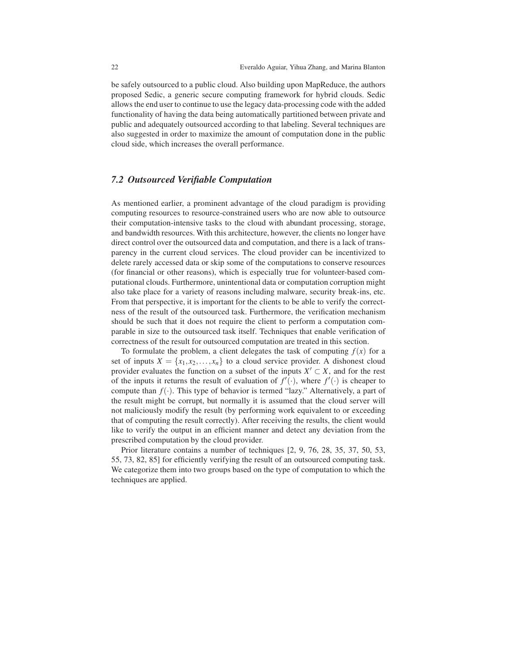be safely outsourced to a public cloud. Also building upon MapReduce, the authors proposed Sedic, a generic secure computing framework for hybrid clouds. Sedic allows the end user to continue to use the legacy data-processing code with the added functionality of having the data being automatically partitioned between private and public and adequately outsourced according to that labeling. Several techniques are also suggested in order to maximize the amount of computation done in the public cloud side, which increases the overall performance.

#### *7.2 Outsourced Verifiable Computation*

As mentioned earlier, a prominent advantage of the cloud paradigm is providing computing resources to resource-constrained users who are now able to outsource their computation-intensive tasks to the cloud with abundant processing, storage, and bandwidth resources. With this architecture, however, the clients no longer have direct control over the outsourced data and computation, and there is a lack of transparency in the current cloud services. The cloud provider can be incentivized to delete rarely accessed data or skip some of the computations to conserve resources (for financial or other reasons), which is especially true for volunteer-based computational clouds. Furthermore, unintentional data or computation corruption might also take place for a variety of reasons including malware, security break-ins, etc. From that perspective, it is important for the clients to be able to verify the correctness of the result of the outsourced task. Furthermore, the verification mechanism should be such that it does not require the client to perform a computation comparable in size to the outsourced task itself. Techniques that enable verification of correctness of the result for outsourced computation are treated in this section.

To formulate the problem, a client delegates the task of computing  $f(x)$  for a set of inputs  $X = \{x_1, x_2, \ldots, x_n\}$  to a cloud service provider. A dishonest cloud provider evaluates the function on a subset of the inputs  $X' \subset X$ , and for the rest of the inputs it returns the result of evaluation of  $f'(\cdot)$ , where  $f'(\cdot)$  is cheaper to compute than  $f(.)$ . This type of behavior is termed "lazy." Alternatively, a part of the result might be corrupt, but normally it is assumed that the cloud server will not maliciously modify the result (by performing work equivalent to or exceeding that of computing the result correctly). After receiving the results, the client would like to verify the output in an efficient manner and detect any deviation from the prescribed computation by the cloud provider.

Prior literature contains a number of techniques [2, 9, 76, 28, 35, 37, 50, 53, 55, 73, 82, 85] for efficiently verifying the result of an outsourced computing task. We categorize them into two groups based on the type of computation to which the techniques are applied.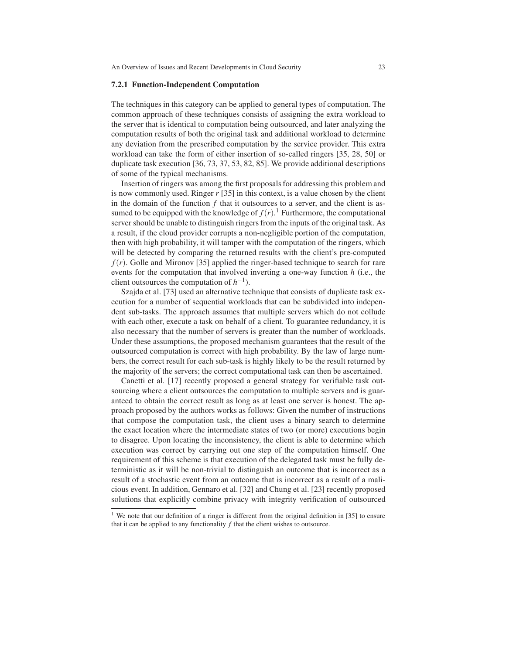#### 7.2.1 Function-Independent Computation

The techniques in this category can be applied to general types of computation. The common approach of these techniques consists of assigning the extra workload to the server that is identical to computation being outsourced, and later analyzing the computation results of both the original task and additional workload to determine any deviation from the prescribed computation by the service provider. This extra workload can take the form of either insertion of so-called ringers [35, 28, 50] or duplicate task execution [36, 73, 37, 53, 82, 85]. We provide additional descriptions of some of the typical mechanisms.

Insertion of ringers was among the first proposals for addressing this problem and is now commonly used. Ringer  $r$  [35] in this context, is a value chosen by the client in the domain of the function *f* that it outsources to a server, and the client is assumed to be equipped with the knowledge of  $f(r)$ .<sup>1</sup> Furthermore, the computational server should be unable to distinguish ringers from the inputs of the original task. As a result, if the cloud provider corrupts a non-negligible portion of the computation, then with high probability, it will tamper with the computation of the ringers, which will be detected by comparing the returned results with the client's pre-computed  $f(r)$ . Golle and Mironov [35] applied the ringer-based technique to search for rare events for the computation that involved inverting a one-way function *h* (i.e., the client outsources the computation of  $h^{-1}$ ).

Szajda et al. [73] used an alternative technique that consists of duplicate task execution for a number of sequential workloads that can be subdivided into independent sub-tasks. The approach assumes that multiple servers which do not collude with each other, execute a task on behalf of a client. To guarantee redundancy, it is also necessary that the number of servers is greater than the number of workloads. Under these assumptions, the proposed mechanism guarantees that the result of the outsourced computation is correct with high probability. By the law of large numbers, the correct result for each sub-task is highly likely to be the result returned by the majority of the servers; the correct computational task can then be ascertained.

Canetti et al. [17] recently proposed a general strategy for verifiable task outsourcing where a client outsources the computation to multiple servers and is guaranteed to obtain the correct result as long as at least one server is honest. The approach proposed by the authors works as follows: Given the number of instructions that compose the computation task, the client uses a binary search to determine the exact location where the intermediate states of two (or more) executions begin to disagree. Upon locating the inconsistency, the client is able to determine which execution was correct by carrying out one step of the computation himself. One requirement of this scheme is that execution of the delegated task must be fully deterministic as it will be non-trivial to distinguish an outcome that is incorrect as a result of a stochastic event from an outcome that is incorrect as a result of a malicious event. In addition, Gennaro et al. [32] and Chung et al. [23] recently proposed solutions that explicitly combine privacy with integrity verification of outsourced

<sup>&</sup>lt;sup>1</sup> We note that our definition of a ringer is different from the original definition in [35] to ensure that it can be applied to any functionality  $f$  that the client wishes to outsource.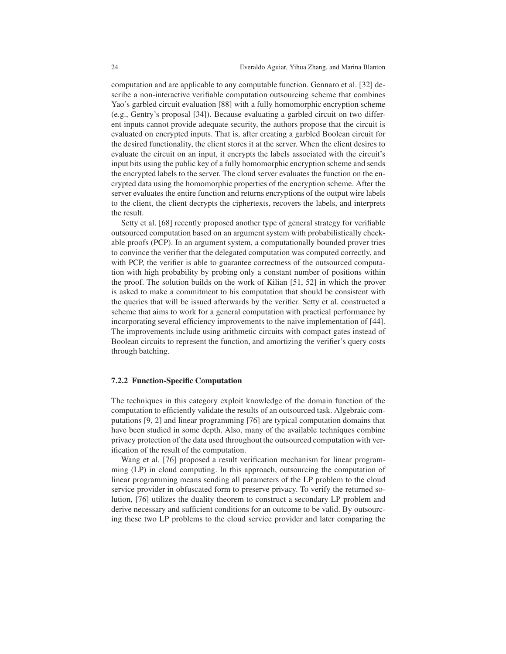computation and are applicable to any computable function. Gennaro et al. [32] describe a non-interactive verifiable computation outsourcing scheme that combines Yao's garbled circuit evaluation [88] with a fully homomorphic encryption scheme (e.g., Gentry's proposal [34]). Because evaluating a garbled circuit on two different inputs cannot provide adequate security, the authors propose that the circuit is evaluated on encrypted inputs. That is, after creating a garbled Boolean circuit for the desired functionality, the client stores it at the server. When the client desires to evaluate the circuit on an input, it encrypts the labels associated with the circuit's input bits using the public key of a fully homomorphic encryption scheme and sends the encrypted labels to the server. The cloud server evaluates the function on the encrypted data using the homomorphic properties of the encryption scheme. After the server evaluates the entire function and returns encryptions of the output wire labels to the client, the client decrypts the ciphertexts, recovers the labels, and interprets the result.

Setty et al. [68] recently proposed another type of general strategy for verifiable outsourced computation based on an argument system with probabilistically checkable proofs (PCP). In an argument system, a computationally bounded prover tries to convince the verifier that the delegated computation was computed correctly, and with PCP, the verifier is able to guarantee correctness of the outsourced computation with high probability by probing only a constant number of positions within the proof. The solution builds on the work of Kilian [51, 52] in which the prover is asked to make a commitment to his computation that should be consistent with the queries that will be issued afterwards by the verifier. Setty et al. constructed a scheme that aims to work for a general computation with practical performance by incorporating several efficiency improvements to the naive implementation of [44]. The improvements include using arithmetic circuits with compact gates instead of Boolean circuits to represent the function, and amortizing the verifier's query costs through batching.

#### 7.2.2 Function-Specific Computation

The techniques in this category exploit knowledge of the domain function of the computation to efficiently validate the results of an outsourced task. Algebraic computations [9, 2] and linear programming [76] are typical computation domains that have been studied in some depth. Also, many of the available techniques combine privacy protection of the data used throughout the outsourced computation with verification of the result of the computation.

Wang et al. [76] proposed a result verification mechanism for linear programming (LP) in cloud computing. In this approach, outsourcing the computation of linear programming means sending all parameters of the LP problem to the cloud service provider in obfuscated form to preserve privacy. To verify the returned solution, [76] utilizes the duality theorem to construct a secondary LP problem and derive necessary and sufficient conditions for an outcome to be valid. By outsourcing these two LP problems to the cloud service provider and later comparing the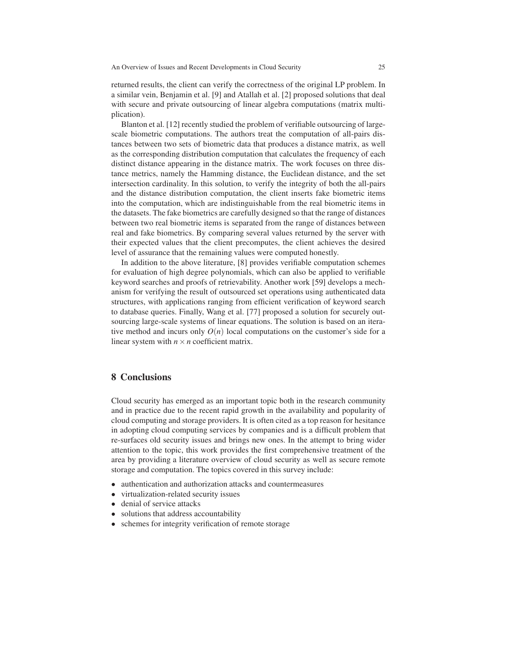returned results, the client can verify the correctness of the original LP problem. In a similar vein, Benjamin et al. [9] and Atallah et al. [2] proposed solutions that deal with secure and private outsourcing of linear algebra computations (matrix multiplication).

Blanton et al. [12] recently studied the problem of verifiable outsourcing of largescale biometric computations. The authors treat the computation of all-pairs distances between two sets of biometric data that produces a distance matrix, as well as the corresponding distribution computation that calculates the frequency of each distinct distance appearing in the distance matrix. The work focuses on three distance metrics, namely the Hamming distance, the Euclidean distance, and the set intersection cardinality. In this solution, to verify the integrity of both the all-pairs and the distance distribution computation, the client inserts fake biometric items into the computation, which are indistinguishable from the real biometric items in the datasets. The fake biometrics are carefully designed so that the range of distances between two real biometric items is separated from the range of distances between real and fake biometrics. By comparing several values returned by the server with their expected values that the client precomputes, the client achieves the desired level of assurance that the remaining values were computed honestly.

In addition to the above literature, [8] provides verifiable computation schemes for evaluation of high degree polynomials, which can also be applied to verifiable keyword searches and proofs of retrievability. Another work [59] develops a mechanism for verifying the result of outsourced set operations using authenticated data structures, with applications ranging from efficient verification of keyword search to database queries. Finally, Wang et al. [77] proposed a solution for securely outsourcing large-scale systems of linear equations. The solution is based on an iterative method and incurs only  $O(n)$  local computations on the customer's side for a linear system with  $n \times n$  coefficient matrix.

#### 8 Conclusions

Cloud security has emerged as an important topic both in the research community and in practice due to the recent rapid growth in the availability and popularity of cloud computing and storage providers. It is often cited as a top reason for hesitance in adopting cloud computing services by companies and is a difficult problem that re-surfaces old security issues and brings new ones. In the attempt to bring wider attention to the topic, this work provides the first comprehensive treatment of the area by providing a literature overview of cloud security as well as secure remote storage and computation. The topics covered in this survey include:

- authentication and authorization attacks and countermeasures
- virtualization-related security issues
- denial of service attacks
- solutions that address accountability
- schemes for integrity verification of remote storage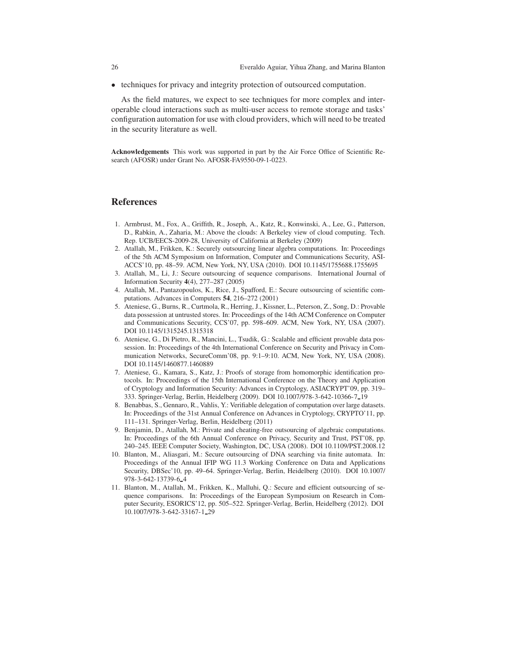• techniques for privacy and integrity protection of outsourced computation.

As the field matures, we expect to see techniques for more complex and interoperable cloud interactions such as multi-user access to remote storage and tasks' configuration automation for use with cloud providers, which will need to be treated in the security literature as well.

Acknowledgements This work was supported in part by the Air Force Office of Scientific Research (AFOSR) under Grant No. AFOSR-FA9550-09-1-0223.

#### References

- 1. Armbrust, M., Fox, A., Griffith, R., Joseph, A., Katz, R., Konwinski, A., Lee, G., Patterson, D., Rabkin, A., Zaharia, M.: Above the clouds: A Berkeley view of cloud computing. Tech. Rep. UCB/EECS-2009-28, University of California at Berkeley (2009)
- 2. Atallah, M., Frikken, K.: Securely outsourcing linear algebra computations. In: Proceedings of the 5th ACM Symposium on Information, Computer and Communications Security, ASI-ACCS'10, pp. 48–59. ACM, New York, NY, USA (2010). DOI 10.1145/1755688.1755695
- 3. Atallah, M., Li, J.: Secure outsourcing of sequence comparisons. International Journal of Information Security 4(4), 277–287 (2005)
- 4. Atallah, M., Pantazopoulos, K., Rice, J., Spafford, E.: Secure outsourcing of scientific computations. Advances in Computers 54, 216–272 (2001)
- 5. Ateniese, G., Burns, R., Curtmola, R., Herring, J., Kissner, L., Peterson, Z., Song, D.: Provable data possession at untrusted stores. In: Proceedings of the 14th ACM Conference on Computer and Communications Security, CCS'07, pp. 598–609. ACM, New York, NY, USA (2007). DOI 10.1145/1315245.1315318
- 6. Ateniese, G., Di Pietro, R., Mancini, L., Tsudik, G.: Scalable and efficient provable data possession. In: Proceedings of the 4th International Conference on Security and Privacy in Communication Networks, SecureComm'08, pp. 9:1–9:10. ACM, New York, NY, USA (2008). DOI 10.1145/1460877.1460889
- 7. Ateniese, G., Kamara, S., Katz, J.: Proofs of storage from homomorphic identification protocols. In: Proceedings of the 15th International Conference on the Theory and Application of Cryptology and Information Security: Advances in Cryptology, ASIACRYPT'09, pp. 319– 333. Springer-Verlag, Berlin, Heidelberg (2009). DOI 10.1007/978-3-642-10366-7 19
- 8. Benabbas, S., Gennaro, R., Vahlis, Y.: Verifiable delegation of computation over large datasets. In: Proceedings of the 31st Annual Conference on Advances in Cryptology, CRYPTO'11, pp. 111–131. Springer-Verlag, Berlin, Heidelberg (2011)
- 9. Benjamin, D., Atallah, M.: Private and cheating-free outsourcing of algebraic computations. In: Proceedings of the 6th Annual Conference on Privacy, Security and Trust, PST'08, pp. 240–245. IEEE Computer Society, Washington, DC, USA (2008). DOI 10.1109/PST.2008.12
- 10. Blanton, M., Aliasgari, M.: Secure outsourcing of DNA searching via finite automata. In: Proceedings of the Annual IFIP WG 11.3 Working Conference on Data and Applications Security, DBSec'10, pp. 49–64. Springer-Verlag, Berlin, Heidelberg (2010). DOI 10.1007/ 978-3-642-13739-6 4
- 11. Blanton, M., Atallah, M., Frikken, K., Malluhi, Q.: Secure and efficient outsourcing of sequence comparisons. In: Proceedings of the European Symposium on Research in Computer Security, ESORICS'12, pp. 505–522. Springer-Verlag, Berlin, Heidelberg (2012). DOI 10.1007/978-3-642-33167-1 29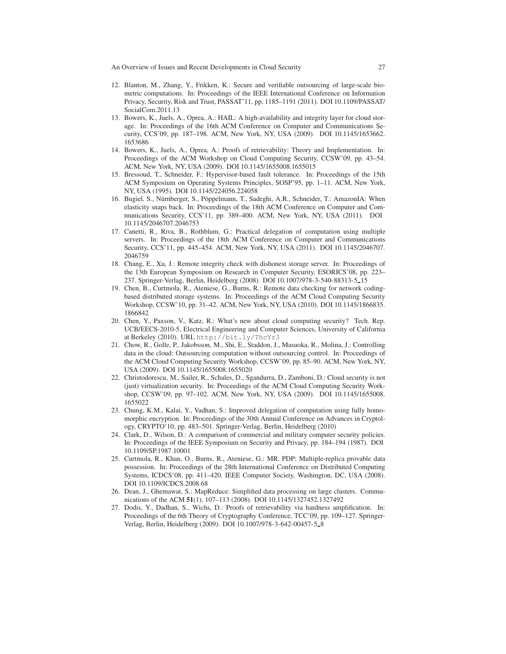An Overview of Issues and Recent Developments in Cloud Security 27

- 12. Blanton, M., Zhang, Y., Frikken, K.: Secure and verifiable outsourcing of large-scale biometric computations. In: Proceedings of the IEEE International Conference on Information Privacy, Security, Risk and Trust, PASSAT'11, pp. 1185–1191 (2011). DOI 10.1109/PASSAT/ SocialCom.2011.13
- 13. Bowers, K., Juels, A., Oprea, A.: HAIL: A high-availability and integrity layer for cloud storage. In: Proceedings of the 16th ACM Conference on Computer and Communications Security, CCS'09, pp. 187–198. ACM, New York, NY, USA (2009). DOI 10.1145/1653662. 1653686
- 14. Bowers, K., Juels, A., Oprea, A.: Proofs of retrievability: Theory and Implementation. In: Proceedings of the ACM Workshop on Cloud Computing Security, CCSW'09, pp. 43–54. ACM, New York, NY, USA (2009). DOI 10.1145/1655008.1655015
- 15. Bressoud, T., Schneider, F.: Hypervisor-based fault tolerance. In: Proceedings of the 15th ACM Symposium on Operating Systems Principles, SOSP'95, pp. 1–11. ACM, New York, NY, USA (1995). DOI 10.1145/224056.224058
- 16. Bugiel, S., Nürnberger, S., Pöppelmann, T., Sadeghi, A.R., Schneider, T.: AmazonIA: When elasticity snaps back. In: Proceedings of the 18th ACM Conference on Computer and Communications Security, CCS'11, pp. 389–400. ACM, New York, NY, USA (2011). DOI 10.1145/2046707.2046753
- 17. Canetti, R., Riva, B., Rothblum, G.: Practical delegation of computation using multiple servers. In: Proceedings of the 18th ACM Conference on Computer and Communications Security, CCS'11, pp. 445–454. ACM, New York, NY, USA (2011). DOI 10.1145/2046707. 2046759
- 18. Chang, E., Xu, J.: Remote integrity check with dishonest storage server. In: Proceedings of the 13th European Symposium on Research in Computer Security, ESORICS'08, pp. 223– 237. Springer-Verlag, Berlin, Heidelberg (2008). DOI 10.1007/978-3-540-88313-5 15
- 19. Chen, B., Curtmola, R., Ateniese, G., Burns, R.: Remote data checking for network codingbased distributed storage systems. In: Proceedings of the ACM Cloud Computing Security Workshop, CCSW'10, pp. 31–42. ACM, New York, NY, USA (2010). DOI 10.1145/1866835. 1866842
- 20. Chen, Y., Paxson, V., Katz, R.: What's new about cloud computing security? Tech. Rep. UCB/EECS-2010-5, Electrical Engineering and Computer Sciences, University of California at Berkeley (2010). URL http://bit.ly/ThcYr3
- 21. Chow, R., Golle, P., Jakobsson, M., Shi, E., Staddon, J., Masuoka, R., Molina, J.: Controlling data in the cloud: Outsourcing computation without outsourcing control. In: Proceedings of the ACM Cloud Computing Security Workshop, CCSW'09, pp. 85–90. ACM, New York, NY, USA (2009). DOI 10.1145/1655008.1655020
- 22. Christodorescu, M., Sailer, R., Schales, D., Sgandurra, D., Zamboni, D.: Cloud security is not (just) virtualization security. In: Proceedings of the ACM Cloud Computing Security Workshop, CCSW'09, pp. 97–102. ACM, New York, NY, USA (2009). DOI 10.1145/1655008. 1655022
- 23. Chung, K.M., Kalai, Y., Vadhan, S.: Improved delegation of computation using fully homomorphic encryption. In: Proceedings of the 30th Annual Conference on Advances in Cryptology, CRYPTO'10, pp. 483–501. Springer-Verlag, Berlin, Heidelberg (2010)
- 24. Clark, D., Wilson, D.: A comparison of commercial and military computer security policies. In: Proceedings of the IEEE Symposium on Security and Privacy, pp. 184–194 (1987). DOI 10.1109/SP.1987.10001
- 25. Curtmola, R., Khan, O., Burns, R., Ateniese, G.: MR. PDP: Multiple-replica provable data possession. In: Proceedings of the 28th International Conference on Distributed Computing Systems, ICDCS'08, pp. 411–420. IEEE Computer Society, Washington, DC, USA (2008). DOI 10.1109/ICDCS.2008.68
- 26. Dean, J., Ghemawat, S.: MapReduce: Simplified data processing on large clusters. Communications of the ACM 51(1), 107–113 (2008). DOI 10.1145/1327452.1327492
- 27. Dodis, Y., Dadhan, S., Wichs, D.: Proofs of retrievability via hardness amplification. In: Proceedings of the 6th Theory of Cryptography Conference, TCC'09, pp. 109–127. Springer-Verlag, Berlin, Heidelberg (2009). DOI 10.1007/978-3-642-00457-5 8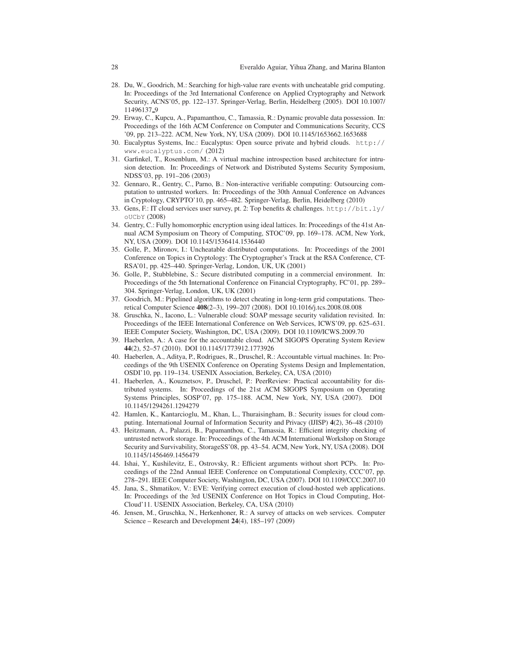- 28. Du, W., Goodrich, M.: Searching for high-value rare events with uncheatable grid computing. In: Proceedings of the 3rd International Conference on Applied Cryptography and Network Security, ACNS'05, pp. 122–137. Springer-Verlag, Berlin, Heidelberg (2005). DOI 10.1007/ 11496137 9
- 29. Erway, C., Kupcu, A., Papamanthou, C., Tamassia, R.: Dynamic provable data possession. In: Proceedings of the 16th ACM Conference on Computer and Communications Security, CCS '09, pp. 213–222. ACM, New York, NY, USA (2009). DOI 10.1145/1653662.1653688
- 30. Eucalyptus Systems, Inc.: Eucalyptus: Open source private and hybrid clouds. http:// www.eucalyptus.com/ (2012)
- 31. Garfinkel, T., Rosenblum, M.: A virtual machine introspection based architecture for intrusion detection. In: Proceedings of Network and Distributed Systems Security Symposium, NDSS'03, pp. 191–206 (2003)
- 32. Gennaro, R., Gentry, C., Parno, B.: Non-interactive verifiable computing: Outsourcing computation to untrusted workers. In: Proceedings of the 30th Annual Conference on Advances in Cryptology, CRYPTO'10, pp. 465–482. Springer-Verlag, Berlin, Heidelberg (2010)
- 33. Gens, F.: IT cloud services user survey, pt. 2: Top benefits & challenges. http://bit.ly/ oUCbY (2008)
- 34. Gentry, C.: Fully homomorphic encryption using ideal lattices. In: Proceedings of the 41st Annual ACM Symposium on Theory of Computing, STOC'09, pp. 169–178. ACM, New York, NY, USA (2009). DOI 10.1145/1536414.1536440
- 35. Golle, P., Mironov, I.: Uncheatable distributed computations. In: Proceedings of the 2001 Conference on Topics in Cryptology: The Cryptographer's Track at the RSA Conference, CT-RSA'01, pp. 425–440. Springer-Verlag, London, UK, UK (2001)
- 36. Golle, P., Stubblebine, S.: Secure distributed computing in a commercial environment. In: Proceedings of the 5th International Conference on Financial Cryptography, FC'01, pp. 289– 304. Springer-Verlag, London, UK, UK (2001)
- 37. Goodrich, M.: Pipelined algorithms to detect cheating in long-term grid computations. Theoretical Computer Science 408(2–3), 199–207 (2008). DOI 10.1016/j.tcs.2008.08.008
- 38. Gruschka, N., Iacono, L.: Vulnerable cloud: SOAP message security validation revisited. In: Proceedings of the IEEE International Conference on Web Services, ICWS'09, pp. 625–631. IEEE Computer Society, Washington, DC, USA (2009). DOI 10.1109/ICWS.2009.70
- 39. Haeberlen, A.: A case for the accountable cloud. ACM SIGOPS Operating System Review 44(2), 52–57 (2010). DOI 10.1145/1773912.1773926
- 40. Haeberlen, A., Aditya, P., Rodrigues, R., Druschel, R.: Accountable virtual machines. In: Proceedings of the 9th USENIX Conference on Operating Systems Design and Implementation, OSDI'10, pp. 119–134. USENIX Association, Berkeley, CA, USA (2010)
- 41. Haeberlen, A., Kouznetsov, P., Druschel, P.: PeerReview: Practical accountability for distributed systems. In: Proceedings of the 21st ACM SIGOPS Symposium on Operating Systems Principles, SOSP'07, pp. 175–188. ACM, New York, NY, USA (2007). DOI 10.1145/1294261.1294279
- 42. Hamlen, K., Kantarcioglu, M., Khan, L., Thuraisingham, B.: Security issues for cloud computing. International Journal of Information Security and Privacy (IJISP) 4(2), 36–48 (2010)
- 43. Heitzmann, A., Palazzi, B., Papamanthou, C., Tamassia, R.: Efficient integrity checking of untrusted network storage. In: Proceedings of the 4th ACM International Workshop on Storage Security and Survivability, StorageSS'08, pp. 43–54. ACM, New York, NY, USA (2008). DOI 10.1145/1456469.1456479
- 44. Ishai, Y., Kushilevitz, E., Ostrovsky, R.: Efficient arguments without short PCPs. In: Proceedings of the 22nd Annual IEEE Conference on Computational Complexity, CCC'07, pp. 278–291. IEEE Computer Society, Washington, DC, USA (2007). DOI 10.1109/CCC.2007.10
- 45. Jana, S., Shmatikov, V.: EVE: Verifying correct execution of cloud-hosted web applications. In: Proceedings of the 3rd USENIX Conference on Hot Topics in Cloud Computing, Hot-Cloud'11. USENIX Association, Berkeley, CA, USA (2010)
- 46. Jensen, M., Gruschka, N., Herkenhoner, R.: A survey of attacks on web services. Computer Science – Research and Development 24(4), 185–197 (2009)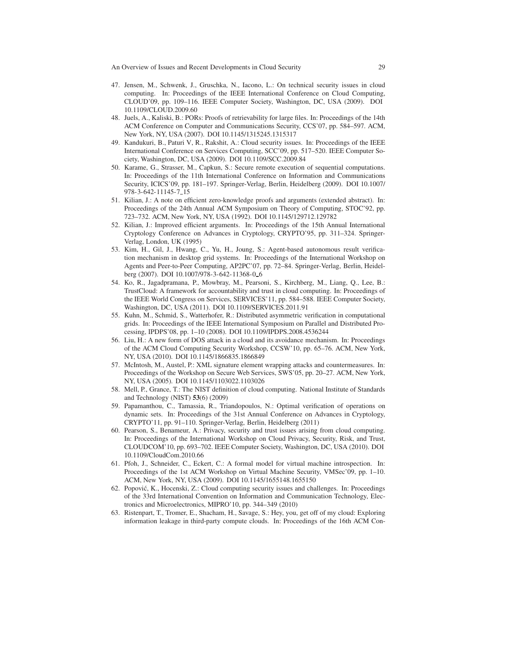An Overview of Issues and Recent Developments in Cloud Security 29

- 47. Jensen, M., Schwenk, J., Gruschka, N., Iacono, L.: On technical security issues in cloud computing. In: Proceedings of the IEEE International Conference on Cloud Computing, CLOUD'09, pp. 109–116. IEEE Computer Society, Washington, DC, USA (2009). DOI 10.1109/CLOUD.2009.60
- 48. Juels, A., Kaliski, B.: PORs: Proofs of retrievability for large files. In: Proceedings of the 14th ACM Conference on Computer and Communications Security, CCS'07, pp. 584–597. ACM, New York, NY, USA (2007). DOI 10.1145/1315245.1315317
- 49. Kandukuri, B., Paturi V, R., Rakshit, A.: Cloud security issues. In: Proceedings of the IEEE International Conference on Services Computing, SCC'09, pp. 517–520. IEEE Computer Society, Washington, DC, USA (2009). DOI 10.1109/SCC.2009.84
- 50. Karame, G., Strasser, M., Capkun, S.: Secure remote execution of sequential computations. In: Proceedings of the 11th International Conference on Information and Communications Security, ICICS'09, pp. 181–197. Springer-Verlag, Berlin, Heidelberg (2009). DOI 10.1007/ 978-3-642-11145-7 15
- 51. Kilian, J.: A note on efficient zero-knowledge proofs and arguments (extended abstract). In: Proceedings of the 24th Annual ACM Symposium on Theory of Computing, STOC'92, pp. 723–732. ACM, New York, NY, USA (1992). DOI 10.1145/129712.129782
- 52. Kilian, J.: Improved efficient arguments. In: Proceedings of the 15th Annual International Cryptology Conference on Advances in Cryptology, CRYPTO'95, pp. 311–324. Springer-Verlag, London, UK (1995)
- 53. Kim, H., Gil, J., Hwang, C., Yu, H., Joung, S.: Agent-based autonomous result verification mechanism in desktop grid systems. In: Proceedings of the International Workshop on Agents and Peer-to-Peer Computing, AP2PC'07, pp. 72–84. Springer-Verlag, Berlin, Heidelberg (2007). DOI 10.1007/978-3-642-11368-0 6
- 54. Ko, R., Jagadpramana, P., Mowbray, M., Pearsoni, S., Kirchberg, M., Liang, Q., Lee, B.: TrustCloud: A framework for accountability and trust in cloud computing. In: Proceedings of the IEEE World Congress on Services, SERVICES'11, pp. 584–588. IEEE Computer Society, Washington, DC, USA (2011). DOI 10.1109/SERVICES.2011.91
- 55. Kuhn, M., Schmid, S., Watterhofer, R.: Distributed asymmetric verification in computational grids. In: Proceedings of the IEEE International Symposium on Parallel and Distributed Processing, IPDPS'08, pp. 1–10 (2008). DOI 10.1109/IPDPS.2008.4536244
- 56. Liu, H.: A new form of DOS attack in a cloud and its avoidance mechanism. In: Proceedings of the ACM Cloud Computing Security Workshop, CCSW'10, pp. 65–76. ACM, New York, NY, USA (2010). DOI 10.1145/1866835.1866849
- 57. McIntosh, M., Austel, P.: XML signature element wrapping attacks and countermeasures. In: Proceedings of the Workshop on Secure Web Services, SWS'05, pp. 20–27. ACM, New York, NY, USA (2005). DOI 10.1145/1103022.1103026
- 58. Mell, P., Grance, T.: The NIST definition of cloud computing. National Institute of Standards and Technology (NIST) 53(6) (2009)
- 59. Papamanthou, C., Tamassia, R., Triandopoulos, N.: Optimal verification of operations on dynamic sets. In: Proceedings of the 31st Annual Conference on Advances in Cryptology, CRYPTO'11, pp. 91–110. Springer-Verlag, Berlin, Heidelberg (2011)
- 60. Pearson, S., Benameur, A.: Privacy, security and trust issues arising from cloud computing. In: Proceedings of the International Workshop on Cloud Privacy, Security, Risk, and Trust, CLOUDCOM'10, pp. 693–702. IEEE Computer Society, Washington, DC, USA (2010). DOI 10.1109/CloudCom.2010.66
- 61. Pfoh, J., Schneider, C., Eckert, C.: A formal model for virtual machine introspection. In: Proceedings of the 1st ACM Workshop on Virtual Machine Security, VMSec'09, pp. 1–10. ACM, New York, NY, USA (2009). DOI 10.1145/1655148.1655150
- 62. Popović, K., Hocenski, Z.: Cloud computing security issues and challenges. In: Proceedings of the 33rd International Convention on Information and Communication Technology, Electronics and Microelectronics, MIPRO'10, pp. 344–349 (2010)
- 63. Ristenpart, T., Tromer, E., Shacham, H., Savage, S.: Hey, you, get off of my cloud: Exploring information leakage in third-party compute clouds. In: Proceedings of the 16th ACM Con-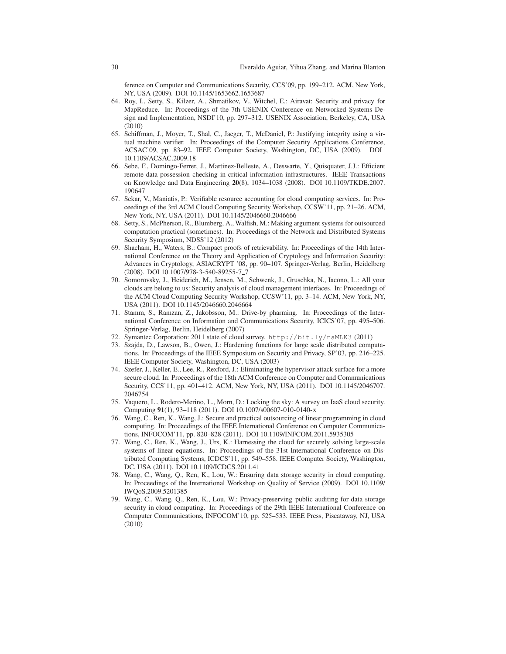ference on Computer and Communications Security, CCS'09, pp. 199–212. ACM, New York, NY, USA (2009). DOI 10.1145/1653662.1653687

- 64. Roy, I., Setty, S., Kilzer, A., Shmatikov, V., Witchel, E.: Airavat: Security and privacy for MapReduce. In: Proceedings of the 7th USENIX Conference on Networked Systems Design and Implementation, NSDI'10, pp. 297–312. USENIX Association, Berkeley, CA, USA (2010)
- 65. Schiffman, J., Moyer, T., Shal, C., Jaeger, T., McDaniel, P.: Justifying integrity using a virtual machine verifier. In: Proceedings of the Computer Security Applications Conference, ACSAC'09, pp. 83–92. IEEE Computer Society, Washington, DC, USA (2009). DOI 10.1109/ACSAC.2009.18
- 66. Sebe, F., Domingo-Ferrer, J., Martinez-Belleste, A., Deswarte, Y., Quisquater, J.J.: Efficient remote data possession checking in critical information infrastructures. IEEE Transactions on Knowledge and Data Engineering 20(8), 1034–1038 (2008). DOI 10.1109/TKDE.2007. 190647
- 67. Sekar, V., Maniatis, P.: Verifiable resource accounting for cloud computing services. In: Proceedings of the 3rd ACM Cloud Computing Security Workshop, CCSW'11, pp. 21–26. ACM, New York, NY, USA (2011). DOI 10.1145/2046660.2046666
- 68. Setty, S., McPherson, R., Blumberg, A., Walfish, M.: Making argument systems for outsourced computation practical (sometimes). In: Proceedings of the Network and Distributed Systems Security Symposium, NDSS'12 (2012)
- 69. Shacham, H., Waters, B.: Compact proofs of retrievability. In: Proceedings of the 14th International Conference on the Theory and Application of Cryptology and Information Security: Advances in Cryptology, ASIACRYPT '08, pp. 90–107. Springer-Verlag, Berlin, Heidelberg (2008). DOI 10.1007/978-3-540-89255-7 7
- 70. Somorovsky, J., Heiderich, M., Jensen, M., Schwenk, J., Gruschka, N., Iacono, L.: All your clouds are belong to us: Security analysis of cloud management interfaces. In: Proceedings of the ACM Cloud Computing Security Workshop, CCSW'11, pp. 3–14. ACM, New York, NY, USA (2011). DOI 10.1145/2046660.2046664
- 71. Stamm, S., Ramzan, Z., Jakobsson, M.: Drive-by pharming. In: Proceedings of the International Conference on Information and Communications Security, ICICS'07, pp. 495–506. Springer-Verlag, Berlin, Heidelberg (2007)
- 72. Symantec Corporation: 2011 state of cloud survey. http://bit.ly/naMLK3 (2011)
- 73. Szajda, D., Lawson, B., Owen, J.: Hardening functions for large scale distributed computations. In: Proceedings of the IEEE Symposium on Security and Privacy, SP'03, pp. 216–225. IEEE Computer Society, Washington, DC, USA (2003)
- 74. Szefer, J., Keller, E., Lee, R., Rexford, J.: Eliminating the hypervisor attack surface for a more secure cloud. In: Proceedings of the 18th ACM Conference on Computer and Communications Security, CCS'11, pp. 401–412. ACM, New York, NY, USA (2011). DOI 10.1145/2046707. 2046754
- 75. Vaquero, L., Rodero-Merino, L., Morn, D.: Locking the sky: A survey on IaaS cloud security. Computing 91(1), 93–118 (2011). DOI 10.1007/s00607-010-0140-x
- 76. Wang, C., Ren, K., Wang, J.: Secure and practical outsourcing of linear programming in cloud computing. In: Proceedings of the IEEE International Conference on Computer Communications, INFOCOM'11, pp. 820–828 (2011). DOI 10.1109/INFCOM.2011.5935305
- 77. Wang, C., Ren, K., Wang, J., Urs, K.: Harnessing the cloud for securely solving large-scale systems of linear equations. In: Proceedings of the 31st International Conference on Distributed Computing Systems, ICDCS'11, pp. 549–558. IEEE Computer Society, Washington, DC, USA (2011). DOI 10.1109/ICDCS.2011.41
- 78. Wang, C., Wang, Q., Ren, K., Lou, W.: Ensuring data storage security in cloud computing. In: Proceedings of the International Workshop on Quality of Service (2009). DOI 10.1109/ IWQoS.2009.5201385
- 79. Wang, C., Wang, Q., Ren, K., Lou, W.: Privacy-preserving public auditing for data storage security in cloud computing. In: Proceedings of the 29th IEEE International Conference on Computer Communications, INFOCOM'10, pp. 525–533. IEEE Press, Piscataway, NJ, USA (2010)